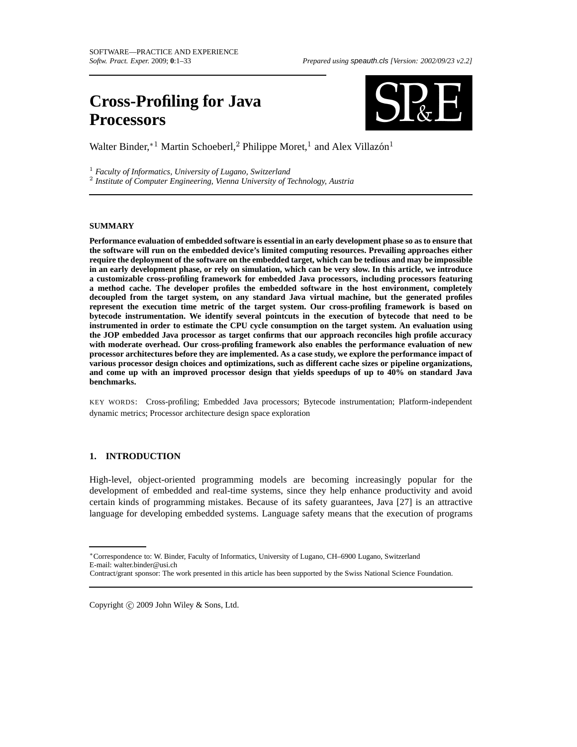# **Cross-Profiling for Java Processors**



Walter Binder,<sup>\*1</sup> Martin Schoeberl,<sup>2</sup> Philippe Moret,<sup>1</sup> and Alex Villazón<sup>1</sup>

<sup>1</sup> *Faculty of Informatics, University of Lugano, Switzerland*

2 *Institute of Computer Engineering, Vienna University of Technology, Austria*

## **SUMMARY**

**Performance evaluation of embedded software is essential in an early development phase so as to ensure that the software will run on the embedded device's limited computing resources. Prevailing approaches either require the deployment of the software on the embedded target, which can be tedious and may be impossible in an early development phase, or rely on simulation, which can be very slow. In this article, we introduce a customizable cross-profiling framework for embedded Java processors, including processors featuring a method cache. The developer profiles the embedded software in the host environment, completely decoupled from the target system, on any standard Java virtual machine, but the generated profiles represent the execution time metric of the target system. Our cross-profiling framework is based on bytecode instrumentation. We identify several pointcuts in the execution of bytecode that need to be instrumented in order to estimate the CPU cycle consumption on the target system. An evaluation using the JOP embedded Java processor as target confirms that our approach reconciles high profile accuracy with moderate overhead. Our cross-profiling framework also enables the performance evaluation of new processor architectures before they are implemented. As a case study, we explore the performance impact of various processor design choices and optimizations, such as different cache sizes or pipeline organizations, and come up with an improved processor design that yields speedups of up to 40% on standard Java benchmarks.**

KEY WORDS: Cross-profiling; Embedded Java processors; Bytecode instrumentation; Platform-independent dynamic metrics; Processor architecture design space exploration

# **1. INTRODUCTION**

High-level, object-oriented programming models are becoming increasingly popular for the development of embedded and real-time systems, since they help enhance productivity and avoid certain kinds of programming mistakes. Because of its safety guarantees, Java [27] is an attractive language for developing embedded systems. Language safety means that the execution of programs

<sup>∗</sup>Correspondence to: W. Binder, Faculty of Informatics, University of Lugano, CH–6900 Lugano, Switzerland E-mail: walter.binder@usi.ch

Contract/grant sponsor: The work presented in this article has been supported by the Swiss National Science Foundation.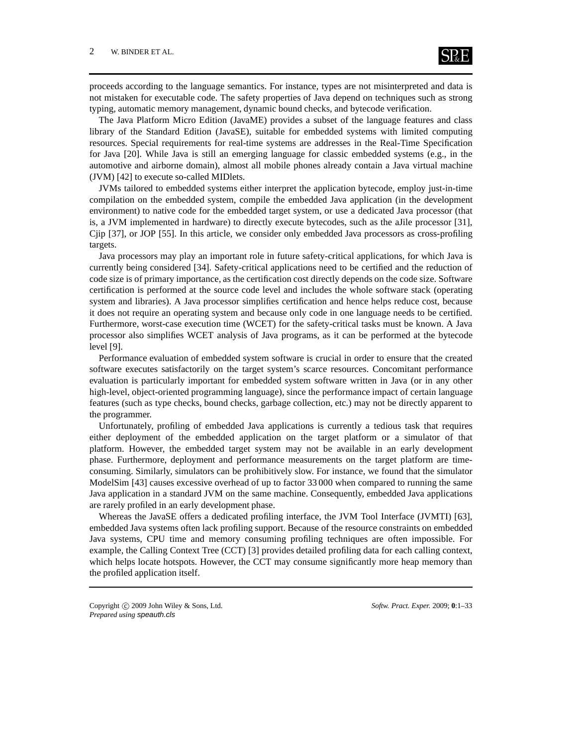proceeds according to the language semantics. For instance, types are not misinterpreted and data is not mistaken for executable code. The safety properties of Java depend on techniques such as strong typing, automatic memory management, dynamic bound checks, and bytecode verification.

The Java Platform Micro Edition (JavaME) provides a subset of the language features and class library of the Standard Edition (JavaSE), suitable for embedded systems with limited computing resources. Special requirements for real-time systems are addresses in the Real-Time Specification for Java [20]. While Java is still an emerging language for classic embedded systems (e.g., in the automotive and airborne domain), almost all mobile phones already contain a Java virtual machine (JVM) [42] to execute so-called MIDlets.

JVMs tailored to embedded systems either interpret the application bytecode, employ just-in-time compilation on the embedded system, compile the embedded Java application (in the development environment) to native code for the embedded target system, or use a dedicated Java processor (that is, a JVM implemented in hardware) to directly execute bytecodes, such as the aJile processor [31], Cjip [37], or JOP [55]. In this article, we consider only embedded Java processors as cross-profiling targets.

Java processors may play an important role in future safety-critical applications, for which Java is currently being considered [34]. Safety-critical applications need to be certified and the reduction of code size is of primary importance, as the certification cost directly depends on the code size. Software certification is performed at the source code level and includes the whole software stack (operating system and libraries). A Java processor simplifies certification and hence helps reduce cost, because it does not require an operating system and because only code in one language needs to be certified. Furthermore, worst-case execution time (WCET) for the safety-critical tasks must be known. A Java processor also simplifies WCET analysis of Java programs, as it can be performed at the bytecode level [9].

Performance evaluation of embedded system software is crucial in order to ensure that the created software executes satisfactorily on the target system's scarce resources. Concomitant performance evaluation is particularly important for embedded system software written in Java (or in any other high-level, object-oriented programming language), since the performance impact of certain language features (such as type checks, bound checks, garbage collection, etc.) may not be directly apparent to the programmer.

Unfortunately, profiling of embedded Java applications is currently a tedious task that requires either deployment of the embedded application on the target platform or a simulator of that platform. However, the embedded target system may not be available in an early development phase. Furthermore, deployment and performance measurements on the target platform are timeconsuming. Similarly, simulators can be prohibitively slow. For instance, we found that the simulator ModelSim [43] causes excessive overhead of up to factor 33 000 when compared to running the same Java application in a standard JVM on the same machine. Consequently, embedded Java applications are rarely profiled in an early development phase.

Whereas the JavaSE offers a dedicated profiling interface, the JVM Tool Interface (JVMTI) [63], embedded Java systems often lack profiling support. Because of the resource constraints on embedded Java systems, CPU time and memory consuming profiling techniques are often impossible. For example, the Calling Context Tree (CCT) [3] provides detailed profiling data for each calling context, which helps locate hotspots. However, the CCT may consume significantly more heap memory than the profiled application itself.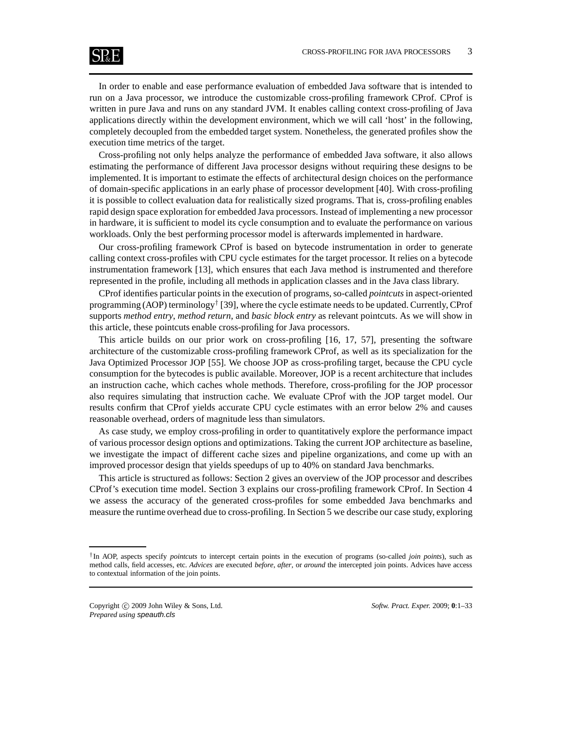In order to enable and ease performance evaluation of embedded Java software that is intended to run on a Java processor, we introduce the customizable cross-profiling framework CProf. CProf is written in pure Java and runs on any standard JVM. It enables calling context cross-profiling of Java applications directly within the development environment, which we will call 'host' in the following, completely decoupled from the embedded target system. Nonetheless, the generated profiles show the execution time metrics of the target.

Cross-profiling not only helps analyze the performance of embedded Java software, it also allows estimating the performance of different Java processor designs without requiring these designs to be implemented. It is important to estimate the effects of architectural design choices on the performance of domain-specific applications in an early phase of processor development [40]. With cross-profiling it is possible to collect evaluation data for realistically sized programs. That is, cross-profiling enables rapid design space exploration for embedded Java processors. Instead of implementing a new processor in hardware, it is sufficient to model its cycle consumption and to evaluate the performance on various workloads. Only the best performing processor model is afterwards implemented in hardware.

Our cross-profiling framework CProf is based on bytecode instrumentation in order to generate calling context cross-profiles with CPU cycle estimates for the target processor. It relies on a bytecode instrumentation framework [13], which ensures that each Java method is instrumented and therefore represented in the profile, including all methods in application classes and in the Java class library.

CProf identifies particular points in the execution of programs, so-called *pointcuts* in aspect-oriented programming (AOP) terminology<sup>†</sup> [39], where the cycle estimate needs to be updated. Currently, CProf supports *method entry*, *method return*, and *basic block entry* as relevant pointcuts. As we will show in this article, these pointcuts enable cross-profiling for Java processors.

This article builds on our prior work on cross-profiling [16, 17, 57], presenting the software architecture of the customizable cross-profiling framework CProf, as well as its specialization for the Java Optimized Processor JOP [55]. We choose JOP as cross-profiling target, because the CPU cycle consumption for the bytecodes is public available. Moreover, JOP is a recent architecture that includes an instruction cache, which caches whole methods. Therefore, cross-profiling for the JOP processor also requires simulating that instruction cache. We evaluate CProf with the JOP target model. Our results confirm that CProf yields accurate CPU cycle estimates with an error below 2% and causes reasonable overhead, orders of magnitude less than simulators.

As case study, we employ cross-profiling in order to quantitatively explore the performance impact of various processor design options and optimizations. Taking the current JOP architecture as baseline, we investigate the impact of different cache sizes and pipeline organizations, and come up with an improved processor design that yields speedups of up to 40% on standard Java benchmarks.

This article is structured as follows: Section 2 gives an overview of the JOP processor and describes CProf's execution time model. Section 3 explains our cross-profiling framework CProf. In Section 4 we assess the accuracy of the generated cross-profiles for some embedded Java benchmarks and measure the runtime overhead due to cross-profiling. In Section 5 we describe our case study, exploring

<sup>†</sup> In AOP, aspects specify *pointcuts* to intercept certain points in the execution of programs (so-called *join points*), such as method calls, field accesses, etc. *Advices* are executed *before*, *after*, or *around* the intercepted join points. Advices have access to contextual information of the join points.

Copyright © 2009 John Wiley & Sons, Ltd. *Softw. Pract. Exper.* 2009; 0:1–33 *Prepared using* speauth.cls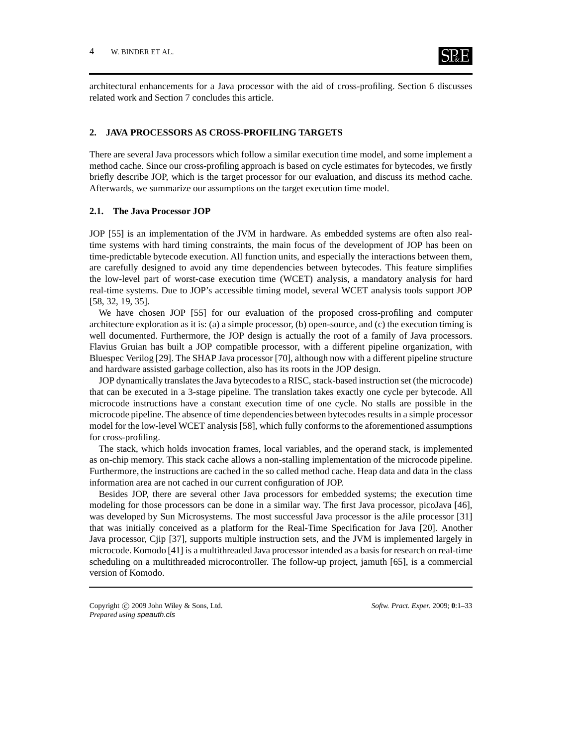

architectural enhancements for a Java processor with the aid of cross-profiling. Section 6 discusses related work and Section 7 concludes this article.

## **2. JAVA PROCESSORS AS CROSS-PROFILING TARGETS**

There are several Java processors which follow a similar execution time model, and some implement a method cache. Since our cross-profiling approach is based on cycle estimates for bytecodes, we firstly briefly describe JOP, which is the target processor for our evaluation, and discuss its method cache. Afterwards, we summarize our assumptions on the target execution time model.

## **2.1. The Java Processor JOP**

JOP [55] is an implementation of the JVM in hardware. As embedded systems are often also realtime systems with hard timing constraints, the main focus of the development of JOP has been on time-predictable bytecode execution. All function units, and especially the interactions between them, are carefully designed to avoid any time dependencies between bytecodes. This feature simplifies the low-level part of worst-case execution time (WCET) analysis, a mandatory analysis for hard real-time systems. Due to JOP's accessible timing model, several WCET analysis tools support JOP [58, 32, 19, 35].

We have chosen JOP [55] for our evaluation of the proposed cross-profiling and computer architecture exploration as it is: (a) a simple processor, (b) open-source, and (c) the execution timing is well documented. Furthermore, the JOP design is actually the root of a family of Java processors. Flavius Gruian has built a JOP compatible processor, with a different pipeline organization, with Bluespec Verilog [29]. The SHAP Java processor [70], although now with a different pipeline structure and hardware assisted garbage collection, also has its roots in the JOP design.

JOP dynamically translates the Java bytecodes to a RISC, stack-based instruction set (the microcode) that can be executed in a 3-stage pipeline. The translation takes exactly one cycle per bytecode. All microcode instructions have a constant execution time of one cycle. No stalls are possible in the microcode pipeline. The absence of time dependencies between bytecodes results in a simple processor model for the low-level WCET analysis [58], which fully conforms to the aforementioned assumptions for cross-profiling.

The stack, which holds invocation frames, local variables, and the operand stack, is implemented as on-chip memory. This stack cache allows a non-stalling implementation of the microcode pipeline. Furthermore, the instructions are cached in the so called method cache. Heap data and data in the class information area are not cached in our current configuration of JOP.

Besides JOP, there are several other Java processors for embedded systems; the execution time modeling for those processors can be done in a similar way. The first Java processor, picoJava [46], was developed by Sun Microsystems. The most successful Java processor is the aJile processor [31] that was initially conceived as a platform for the Real-Time Specification for Java [20]. Another Java processor, Cjip [37], supports multiple instruction sets, and the JVM is implemented largely in microcode. Komodo [41] is a multithreaded Java processor intended as a basis for research on real-time scheduling on a multithreaded microcontroller. The follow-up project, jamuth [65], is a commercial version of Komodo.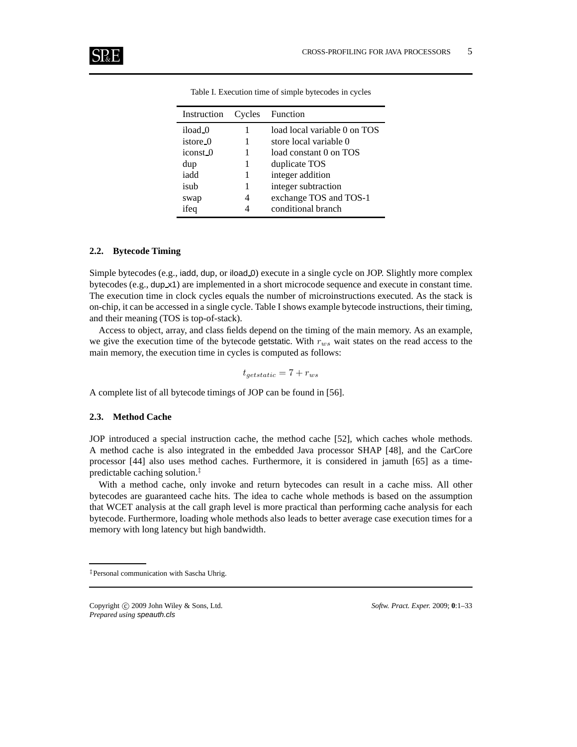| Instruction        |   | Cycles Function              |
|--------------------|---|------------------------------|
| iload <sub>0</sub> |   | load local variable 0 on TOS |
| istore_0           |   | store local variable 0       |
| iconst_0           | 1 | load constant 0 on TOS       |
| dup                | 1 | duplicate TOS                |
| iadd               | 1 | integer addition             |
| isub               | 1 | integer subtraction          |
| swap               | 4 | exchange TOS and TOS-1       |
| ifea               |   | conditional branch           |

Table I. Execution time of simple bytecodes in cycles

## **2.2. Bytecode Timing**

Simple bytecodes (e.g., iadd, dup, or iload 0) execute in a single cycle on JOP. Slightly more complex bytecodes (e.g., dup x1) are implemented in a short microcode sequence and execute in constant time. The execution time in clock cycles equals the number of microinstructions executed. As the stack is on-chip, it can be accessed in a single cycle. Table I shows example bytecode instructions, their timing, and their meaning (TOS is top-of-stack).

Access to object, array, and class fields depend on the timing of the main memory. As an example, we give the execution time of the bytecode getstatic. With  $r_{ws}$  wait states on the read access to the main memory, the execution time in cycles is computed as follows:

$$
t_{\text{getstatic}} = 7 + r_{ws}
$$

A complete list of all bytecode timings of JOP can be found in [56].

## **2.3. Method Cache**

JOP introduced a special instruction cache, the method cache [52], which caches whole methods. A method cache is also integrated in the embedded Java processor SHAP [48], and the CarCore processor [44] also uses method caches. Furthermore, it is considered in jamuth [65] as a timepredictable caching solution.‡

With a method cache, only invoke and return bytecodes can result in a cache miss. All other bytecodes are guaranteed cache hits. The idea to cache whole methods is based on the assumption that WCET analysis at the call graph level is more practical than performing cache analysis for each bytecode. Furthermore, loading whole methods also leads to better average case execution times for a memory with long latency but high bandwidth.

<sup>‡</sup>Personal communication with Sascha Uhrig.

Copyright c 2009 John Wiley & Sons, Ltd. *Softw. Pract. Exper.* 2009; **0**:1–33 *Prepared using* speauth.cls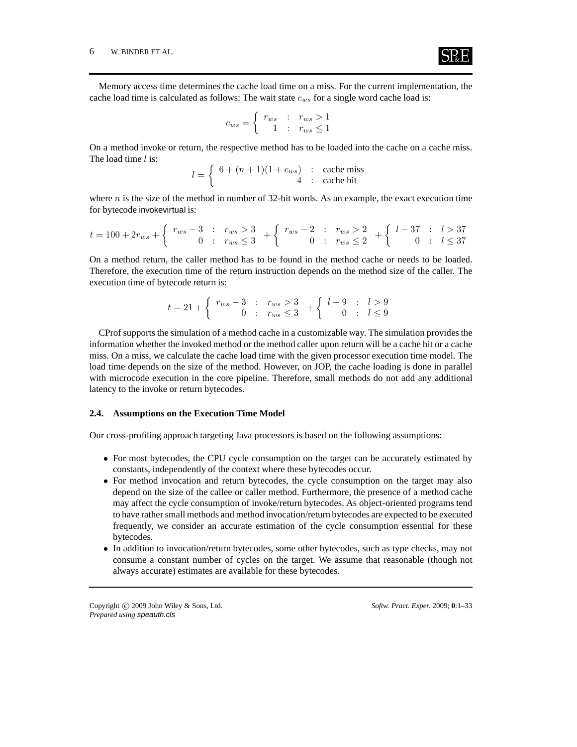

Memory access time determines the cache load time on a miss. For the current implementation, the cache load time is calculated as follows: The wait state  $c_{ws}$  for a single word cache load is:

$$
c_{ws} = \begin{cases} r_{ws} & : & r_{ws} > 1 \\ 1 & : & r_{ws} \le 1 \end{cases}
$$

On a method invoke or return, the respective method has to be loaded into the cache on a cache miss. The load time  $l$  is:

$$
l = \begin{cases} 6 + (n+1)(1 + c_{ws}) & \text{: cache miss} \\ 4 & \text{: cache hit} \end{cases}
$$

where  $n$  is the size of the method in number of 32-bit words. As an example, the exact execution time for bytecode invokevirtual is:

$$
t = 100 + 2r_{ws} + \begin{cases} r_{ws} - 3 & : & r_{ws} > 3 \\ 0 & : & r_{ws} \le 3 \end{cases} + \begin{cases} r_{ws} - 2 & : & r_{ws} > 2 \\ 0 & : & r_{ws} \le 2 \end{cases} + \begin{cases} l - 37 & : & l > 37 \\ 0 & : & l \le 37 \end{cases}
$$

On a method return, the caller method has to be found in the method cache or needs to be loaded. Therefore, the execution time of the return instruction depends on the method size of the caller. The execution time of bytecode return is:

$$
t = 21 + \left\{ \begin{array}{rcl} r_{ws} - 3 & : & r_{ws} > 3 \\ 0 & : & r_{ws} \le 3 \end{array} \right. + \left\{ \begin{array}{rcl} l - 9 & : & l > 9 \\ 0 & : & l \le 9 \end{array} \right.
$$

CProf supports the simulation of a method cache in a customizable way. The simulation provides the information whether the invoked method or the method caller upon return will be a cache hit or a cache miss. On a miss, we calculate the cache load time with the given processor execution time model. The load time depends on the size of the method. However, on JOP, the cache loading is done in parallel with microcode execution in the core pipeline. Therefore, small methods do not add any additional latency to the invoke or return bytecodes.

## **2.4. Assumptions on the Execution Time Model**

Our cross-profiling approach targeting Java processors is based on the following assumptions:

- For most bytecodes, the CPU cycle consumption on the target can be accurately estimated by constants, independently of the context where these bytecodes occur.
- For method invocation and return bytecodes, the cycle consumption on the target may also depend on the size of the callee or caller method. Furthermore, the presence of a method cache may affect the cycle consumption of invoke/return bytecodes. As object-oriented programs tend to have rather small methods and method invocation/return bytecodes are expected to be executed frequently, we consider an accurate estimation of the cycle consumption essential for these bytecodes.
- In addition to invocation/return bytecodes, some other bytecodes, such as type checks, may not consume a constant number of cycles on the target. We assume that reasonable (though not always accurate) estimates are available for these bytecodes.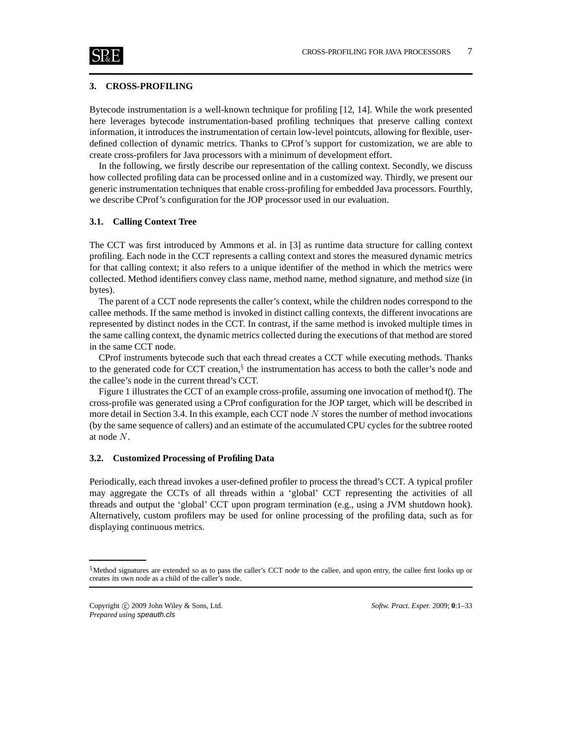

## **3. CROSS-PROFILING**

Bytecode instrumentation is a well-known technique for profiling [12, 14]. While the work presented here leverages bytecode instrumentation-based profiling techniques that preserve calling context information, it introduces the instrumentation of certain low-level pointcuts, allowing for flexible, userdefined collection of dynamic metrics. Thanks to CProf's support for customization, we are able to create cross-profilers for Java processors with a minimum of development effort.

In the following, we firstly describe our representation of the calling context. Secondly, we discuss how collected profiling data can be processed online and in a customized way. Thirdly, we present our generic instrumentation techniques that enable cross-profiling for embedded Java processors. Fourthly, we describe CProf's configuration for the JOP processor used in our evaluation.

## **3.1. Calling Context Tree**

The CCT was first introduced by Ammons et al. in [3] as runtime data structure for calling context profiling. Each node in the CCT represents a calling context and stores the measured dynamic metrics for that calling context; it also refers to a unique identifier of the method in which the metrics were collected. Method identifiers convey class name, method name, method signature, and method size (in bytes).

The parent of a CCT node represents the caller's context, while the children nodes correspond to the callee methods. If the same method is invoked in distinct calling contexts, the different invocations are represented by distinct nodes in the CCT. In contrast, if the same method is invoked multiple times in the same calling context, the dynamic metrics collected during the executions of that method are stored in the same CCT node.

CProf instruments bytecode such that each thread creates a CCT while executing methods. Thanks to the generated code for CCT creation, $§$  the instrumentation has access to both the caller's node and the callee's node in the current thread's CCT.

Figure 1 illustrates the CCT of an example cross-profile, assuming one invocation of method f(). The cross-profile was generated using a CProf configuration for the JOP target, which will be described in more detail in Section 3.4. In this example, each CCT node N stores the number of method invocations (by the same sequence of callers) and an estimate of the accumulated CPU cycles for the subtree rooted at node N.

## **3.2. Customized Processing of Profiling Data**

Periodically, each thread invokes a user-defined profiler to process the thread's CCT. A typical profiler may aggregate the CCTs of all threads within a 'global' CCT representing the activities of all threads and output the 'global' CCT upon program termination (e.g., using a JVM shutdown hook). Alternatively, custom profilers may be used for online processing of the profiling data, such as for displaying continuous metrics.

<sup>§</sup>Method signatures are extended so as to pass the caller's CCT node to the callee, and upon entry, the callee first looks up or creates its own node as a child of the caller's node.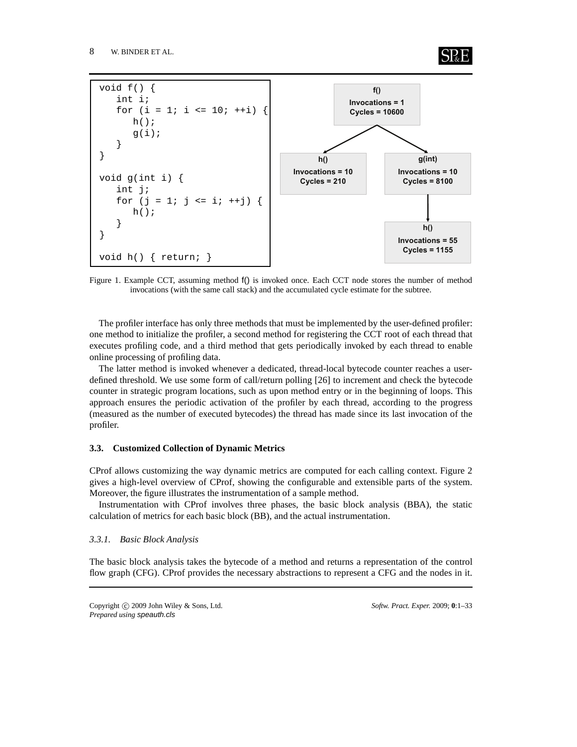



Figure 1. Example CCT, assuming method f() is invoked once. Each CCT node stores the number of method invocations (with the same call stack) and the accumulated cycle estimate for the subtree.

The profiler interface has only three methods that must be implemented by the user-defined profiler: one method to initialize the profiler, a second method for registering the CCT root of each thread that executes profiling code, and a third method that gets periodically invoked by each thread to enable online processing of profiling data.

The latter method is invoked whenever a dedicated, thread-local bytecode counter reaches a userdefined threshold. We use some form of call/return polling [26] to increment and check the bytecode counter in strategic program locations, such as upon method entry or in the beginning of loops. This approach ensures the periodic activation of the profiler by each thread, according to the progress (measured as the number of executed bytecodes) the thread has made since its last invocation of the profiler.

## **3.3. Customized Collection of Dynamic Metrics**

CProf allows customizing the way dynamic metrics are computed for each calling context. Figure 2 gives a high-level overview of CProf, showing the configurable and extensible parts of the system. Moreover, the figure illustrates the instrumentation of a sample method.

Instrumentation with CProf involves three phases, the basic block analysis (BBA), the static calculation of metrics for each basic block (BB), and the actual instrumentation.

#### *3.3.1. Basic Block Analysis*

The basic block analysis takes the bytecode of a method and returns a representation of the control flow graph (CFG). CProf provides the necessary abstractions to represent a CFG and the nodes in it.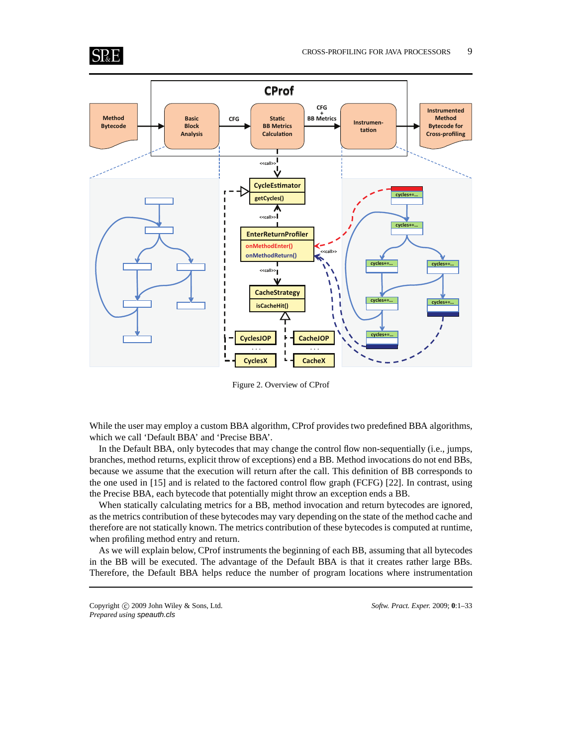



Figure 2. Overview of CProf

While the user may employ a custom BBA algorithm, CProf provides two predefined BBA algorithms, which we call 'Default BBA' and 'Precise BBA'.

In the Default BBA, only bytecodes that may change the control flow non-sequentially (i.e., jumps, branches, method returns, explicit throw of exceptions) end a BB. Method invocations do not end BBs, because we assume that the execution will return after the call. This definition of BB corresponds to the one used in [15] and is related to the factored control flow graph (FCFG) [22]. In contrast, using the Precise BBA, each bytecode that potentially might throw an exception ends a BB.

When statically calculating metrics for a BB, method invocation and return bytecodes are ignored, as the metrics contribution of these bytecodes may vary depending on the state of the method cache and therefore are not statically known. The metrics contribution of these bytecodes is computed at runtime, when profiling method entry and return.

As we will explain below, CProf instruments the beginning of each BB, assuming that all bytecodes in the BB will be executed. The advantage of the Default BBA is that it creates rather large BBs. Therefore, the Default BBA helps reduce the number of program locations where instrumentation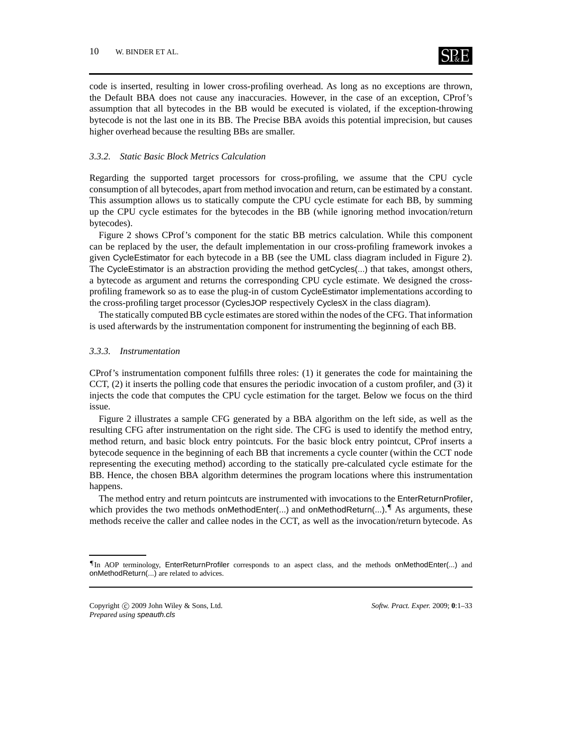

code is inserted, resulting in lower cross-profiling overhead. As long as no exceptions are thrown, the Default BBA does not cause any inaccuracies. However, in the case of an exception, CProf's assumption that all bytecodes in the BB would be executed is violated, if the exception-throwing bytecode is not the last one in its BB. The Precise BBA avoids this potential imprecision, but causes higher overhead because the resulting BBs are smaller.

## *3.3.2. Static Basic Block Metrics Calculation*

Regarding the supported target processors for cross-profiling, we assume that the CPU cycle consumption of all bytecodes, apart from method invocation and return, can be estimated by a constant. This assumption allows us to statically compute the CPU cycle estimate for each BB, by summing up the CPU cycle estimates for the bytecodes in the BB (while ignoring method invocation/return bytecodes).

Figure 2 shows CProf's component for the static BB metrics calculation. While this component can be replaced by the user, the default implementation in our cross-profiling framework invokes a given CycleEstimator for each bytecode in a BB (see the UML class diagram included in Figure 2). The CycleEstimator is an abstraction providing the method getCycles(...) that takes, amongst others, a bytecode as argument and returns the corresponding CPU cycle estimate. We designed the crossprofiling framework so as to ease the plug-in of custom CycleEstimator implementations according to the cross-profiling target processor (CyclesJOP respectively CyclesX in the class diagram).

The statically computed BB cycle estimates are stored within the nodes of the CFG. That information is used afterwards by the instrumentation component for instrumenting the beginning of each BB.

## *3.3.3. Instrumentation*

CProf's instrumentation component fulfills three roles: (1) it generates the code for maintaining the CCT, (2) it inserts the polling code that ensures the periodic invocation of a custom profiler, and (3) it injects the code that computes the CPU cycle estimation for the target. Below we focus on the third issue.

Figure 2 illustrates a sample CFG generated by a BBA algorithm on the left side, as well as the resulting CFG after instrumentation on the right side. The CFG is used to identify the method entry, method return, and basic block entry pointcuts. For the basic block entry pointcut, CProf inserts a bytecode sequence in the beginning of each BB that increments a cycle counter (within the CCT node representing the executing method) according to the statically pre-calculated cycle estimate for the BB. Hence, the chosen BBA algorithm determines the program locations where this instrumentation happens.

The method entry and return pointcuts are instrumented with invocations to the EnterReturnProfiler, which provides the two methods onMethodEnter(...) and onMethodReturn(...). As arguments, these methods receive the caller and callee nodes in the CCT, as well as the invocation/return bytecode. As

<sup>¶</sup>In AOP terminology, EnterReturnProfiler corresponds to an aspect class, and the methods onMethodEnter(...) and onMethodReturn(...) are related to advices.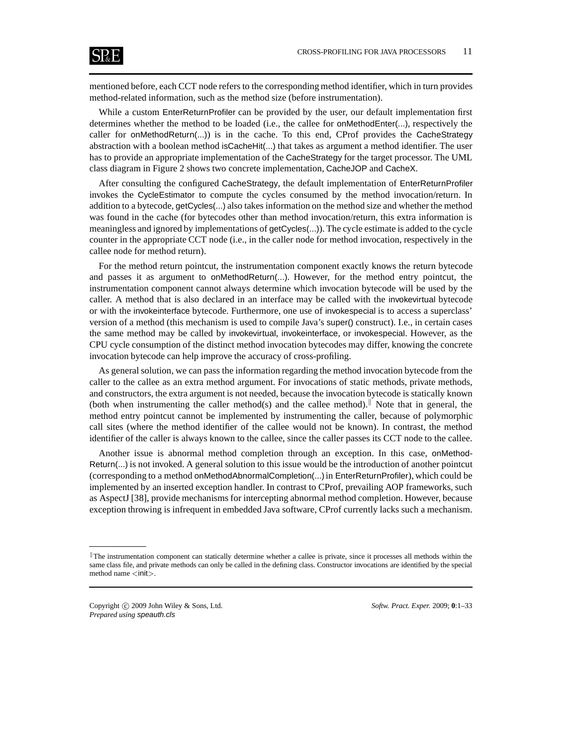**SRE** 

mentioned before, each CCT node refers to the corresponding method identifier, which in turn provides method-related information, such as the method size (before instrumentation).

While a custom EnterReturnProfiler can be provided by the user, our default implementation first determines whether the method to be loaded (i.e., the callee for onMethodEnter(...), respectively the caller for onMethodReturn(...)) is in the cache. To this end, CProf provides the CacheStrategy abstraction with a boolean method isCacheHit(...) that takes as argument a method identifier. The user has to provide an appropriate implementation of the CacheStrategy for the target processor. The UML class diagram in Figure 2 shows two concrete implementation, CacheJOP and CacheX.

After consulting the configured CacheStrategy, the default implementation of EnterReturnProfiler invokes the CycleEstimator to compute the cycles consumed by the method invocation/return. In addition to a bytecode, getCycles(...) also takes information on the method size and whether the method was found in the cache (for bytecodes other than method invocation/return, this extra information is meaningless and ignored by implementations of getCycles(...)). The cycle estimate is added to the cycle counter in the appropriate CCT node (i.e., in the caller node for method invocation, respectively in the callee node for method return).

For the method return pointcut, the instrumentation component exactly knows the return bytecode and passes it as argument to onMethodReturn(...). However, for the method entry pointcut, the instrumentation component cannot always determine which invocation bytecode will be used by the caller. A method that is also declared in an interface may be called with the invokevirtual bytecode or with the invokeinterface bytecode. Furthermore, one use of invokespecial is to access a superclass' version of a method (this mechanism is used to compile Java's super() construct). I.e., in certain cases the same method may be called by invokevirtual, invokeinterface, or invokespecial. However, as the CPU cycle consumption of the distinct method invocation bytecodes may differ, knowing the concrete invocation bytecode can help improve the accuracy of cross-profiling.

As general solution, we can pass the information regarding the method invocation bytecode from the caller to the callee as an extra method argument. For invocations of static methods, private methods, and constructors, the extra argument is not needed, because the invocation bytecode is statically known (both when instrumenting the caller method(s) and the callee method).<sup> $\parallel$ </sup> Note that in general, the method entry pointcut cannot be implemented by instrumenting the caller, because of polymorphic call sites (where the method identifier of the callee would not be known). In contrast, the method identifier of the caller is always known to the callee, since the caller passes its CCT node to the callee.

Another issue is abnormal method completion through an exception. In this case, onMethod-Return(...) is not invoked. A general solution to this issue would be the introduction of another pointcut (corresponding to a method onMethodAbnormalCompletion(...)in EnterReturnProfiler), which could be implemented by an inserted exception handler. In contrast to CProf, prevailing AOP frameworks, such as AspectJ [38], provide mechanisms for intercepting abnormal method completion. However, because exception throwing is infrequent in embedded Java software, CProf currently lacks such a mechanism.

If The instrumentation component can statically determine whether a callee is private, since it processes all methods within the same class file, and private methods can only be called in the defining class. Constructor invocations are identified by the special method name  $\langle$  init $\rangle$ .

Copyright c 2009 John Wiley & Sons, Ltd. *Softw. Pract. Exper.* 2009; **0**:1–33 *Prepared using* speauth.cls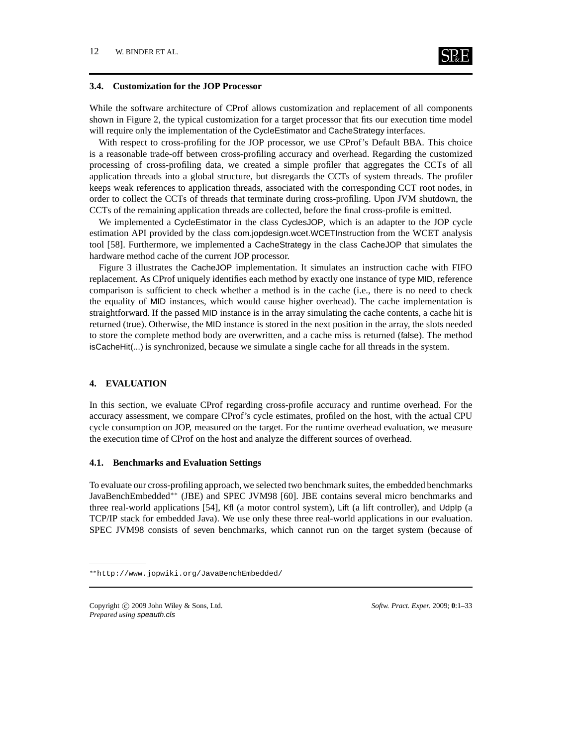

#### **3.4. Customization for the JOP Processor**

While the software architecture of CProf allows customization and replacement of all components shown in Figure 2, the typical customization for a target processor that fits our execution time model will require only the implementation of the CycleEstimator and CacheStrategy interfaces.

With respect to cross-profiling for the JOP processor, we use CProf's Default BBA. This choice is a reasonable trade-off between cross-profiling accuracy and overhead. Regarding the customized processing of cross-profiling data, we created a simple profiler that aggregates the CCTs of all application threads into a global structure, but disregards the CCTs of system threads. The profiler keeps weak references to application threads, associated with the corresponding CCT root nodes, in order to collect the CCTs of threads that terminate during cross-profiling. Upon JVM shutdown, the CCTs of the remaining application threads are collected, before the final cross-profile is emitted.

We implemented a CycleEstimator in the class CyclesJOP, which is an adapter to the JOP cycle estimation API provided by the class com.jopdesign.wcet.WCETInstruction from the WCET analysis tool [58]. Furthermore, we implemented a CacheStrategy in the class CacheJOP that simulates the hardware method cache of the current JOP processor.

Figure 3 illustrates the CacheJOP implementation. It simulates an instruction cache with FIFO replacement. As CProf uniquely identifies each method by exactly one instance of type MID, reference comparison is sufficient to check whether a method is in the cache (i.e., there is no need to check the equality of MID instances, which would cause higher overhead). The cache implementation is straightforward. If the passed MID instance is in the array simulating the cache contents, a cache hit is returned (true). Otherwise, the MID instance is stored in the next position in the array, the slots needed to store the complete method body are overwritten, and a cache miss is returned (false). The method isCacheHit(...) is synchronized, because we simulate a single cache for all threads in the system.

## **4. EVALUATION**

In this section, we evaluate CProf regarding cross-profile accuracy and runtime overhead. For the accuracy assessment, we compare CProf's cycle estimates, profiled on the host, with the actual CPU cycle consumption on JOP, measured on the target. For the runtime overhead evaluation, we measure the execution time of CProf on the host and analyze the different sources of overhead.

#### **4.1. Benchmarks and Evaluation Settings**

To evaluate our cross-profiling approach, we selected two benchmark suites, the embedded benchmarks JavaBenchEmbedded∗∗ (JBE) and SPEC JVM98 [60]. JBE contains several micro benchmarks and three real-world applications [54], Kfl (a motor control system), Lift (a lift controller), and UdpIp (a TCP/IP stack for embedded Java). We use only these three real-world applications in our evaluation. SPEC JVM98 consists of seven benchmarks, which cannot run on the target system (because of

<sup>∗∗</sup>http://www.jopwiki.org/JavaBenchEmbedded/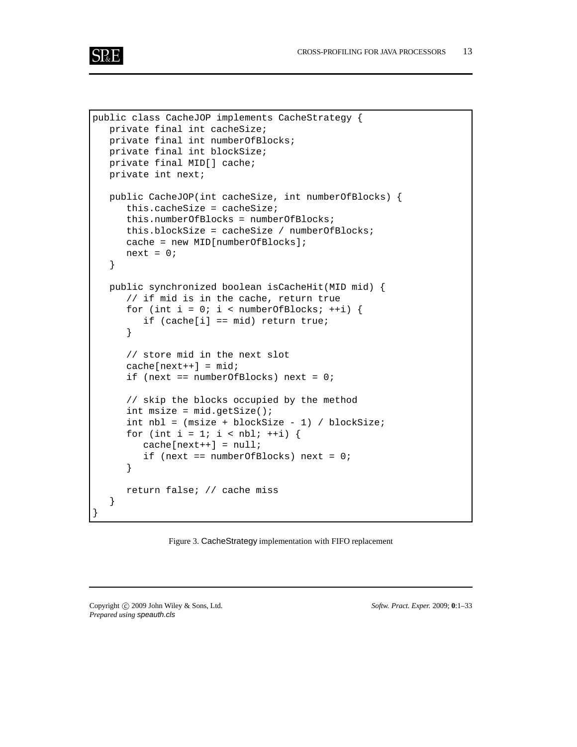```
public class CacheJOP implements CacheStrategy {
  private final int cacheSize;
  private final int numberOfBlocks;
  private final int blockSize;
  private final MID[] cache;
  private int next;
  public CacheJOP(int cacheSize, int numberOfBlocks) {
      this.cacheSize = cacheSize;
      this.numberOfBlocks = numberOfBlocks;
      this.blockSize = cacheSize / numberOfBlocks;
      cache = new MID[numberOfBlocks];
      next = 0;}
  public synchronized boolean isCacheHit(MID mid) {
      // if mid is in the cache, return true
      for (int i = 0; i < numberOfBlocks; ++i) {
         if (cache[i] == mid) return true;
      }
      // store mid in the next slot
      cache[next++] = mid;if (next == numberOfBlocks) next = 0;
      // skip the blocks occupied by the method
      int msize = mid.getSize();
      int nbl = (msize + blocksize - 1) / blocksize;for (int i = 1; i < nbl; ++i) {
         cache[next++] = null;if (next == numberOfBlocks) next = 0;
      }
      return false; // cache miss
   }
}
```
Figure 3. CacheStrategy implementation with FIFO replacement

Copyright c 2009 John Wiley & Sons, Ltd. *Softw. Pract. Exper.* 2009; **0**:1–33 *Prepared using* speauth.cls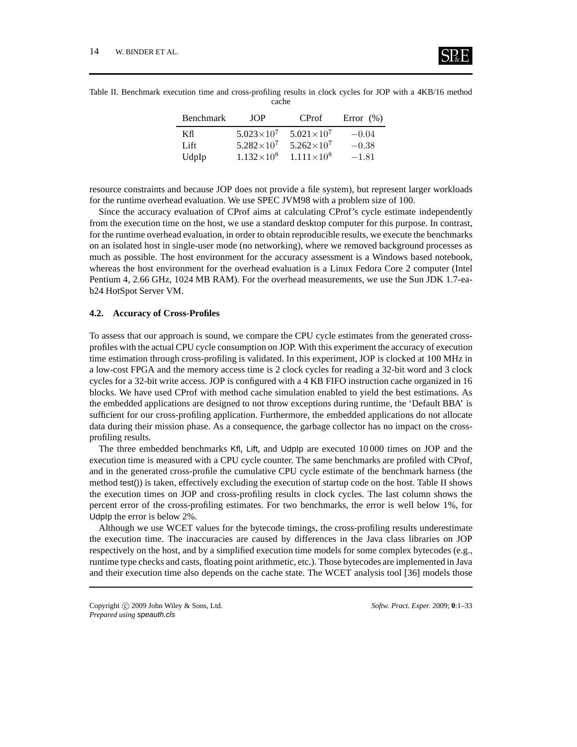

|  |  | Table II. Benchmark execution time and cross-profiling results in clock cycles for JOP with a 4KB/16 method |  |  |  |  |  |
|--|--|-------------------------------------------------------------------------------------------------------------|--|--|--|--|--|
|  |  | cache                                                                                                       |  |  |  |  |  |

| Benchmark | <b>JOP</b>            | CProf                 | Error $(\%)$ |
|-----------|-----------------------|-----------------------|--------------|
| Kfl       | $5.023 \times 10^{7}$ | $5.021 \times 10^{7}$ | $-0.04$      |
| Lift      | $5.282\times10^{7}$   | $5.262\times10^{7}$   | $-0.38$      |
| UdpIp     | $1.132\times10^{8}$   | $1.111\times10^{8}$   | $-1.81$      |

resource constraints and because JOP does not provide a file system), but represent larger workloads for the runtime overhead evaluation. We use SPEC JVM98 with a problem size of 100.

Since the accuracy evaluation of CProf aims at calculating CProf's cycle estimate independently from the execution time on the host, we use a standard desktop computer for this purpose. In contrast, for the runtime overhead evaluation, in order to obtain reproducible results, we execute the benchmarks on an isolated host in single-user mode (no networking), where we removed background processes as much as possible. The host environment for the accuracy assessment is a Windows based notebook, whereas the host environment for the overhead evaluation is a Linux Fedora Core 2 computer (Intel Pentium 4, 2.66 GHz, 1024 MB RAM). For the overhead measurements, we use the Sun JDK 1.7-eab24 HotSpot Server VM.

#### **4.2. Accuracy of Cross-Profiles**

To assess that our approach is sound, we compare the CPU cycle estimates from the generated crossprofiles with the actual CPU cycle consumption on JOP. With this experiment the accuracy of execution time estimation through cross-profiling is validated. In this experiment, JOP is clocked at 100 MHz in a low-cost FPGA and the memory access time is 2 clock cycles for reading a 32-bit word and 3 clock cycles for a 32-bit write access. JOP is configured with a 4 KB FIFO instruction cache organized in 16 blocks. We have used CProf with method cache simulation enabled to yield the best estimations. As the embedded applications are designed to not throw exceptions during runtime, the 'Default BBA' is sufficient for our cross-profiling application. Furthermore, the embedded applications do not allocate data during their mission phase. As a consequence, the garbage collector has no impact on the crossprofiling results.

The three embedded benchmarks Kfl, Lift, and UdpIp are executed 10 000 times on JOP and the execution time is measured with a CPU cycle counter. The same benchmarks are profiled with CProf, and in the generated cross-profile the cumulative CPU cycle estimate of the benchmark harness (the method test()) is taken, effectively excluding the execution of startup code on the host. Table II shows the execution times on JOP and cross-profiling results in clock cycles. The last column shows the percent error of the cross-profiling estimates. For two benchmarks, the error is well below 1%, for UdpIp the error is below 2%.

Although we use WCET values for the bytecode timings, the cross-profiling results underestimate the execution time. The inaccuracies are caused by differences in the Java class libraries on JOP respectively on the host, and by a simplified execution time models for some complex bytecodes (e.g., runtime type checks and casts, floating point arithmetic, etc.). Those bytecodes are implemented in Java and their execution time also depends on the cache state. The WCET analysis tool [36] models those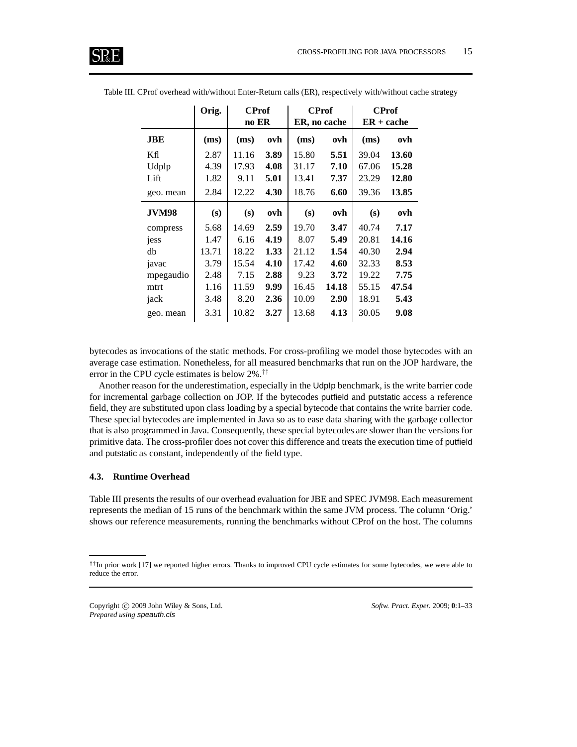|              | Orig. | <b>CProf</b><br>no ER |      |       | <b>CProf</b><br>ER, no cache | <b>CProf</b><br>$ER + cache$ |       |
|--------------|-------|-----------------------|------|-------|------------------------------|------------------------------|-------|
| <b>JBE</b>   | (ms)  | (ms)                  | ovh  | (ms)  | ovh                          | (ms)                         | ovh   |
| Kfl          | 2.87  | 11.16                 | 3.89 | 15.80 | 5.51                         | 39.04                        | 13.60 |
| Udplp        | 4.39  | 17.93                 | 4.08 | 31.17 | 7.10                         | 67.06                        | 15.28 |
| Lift         | 1.82  | 9.11                  | 5.01 | 13.41 | 7.37                         | 23.29                        | 12.80 |
| geo. mean    | 2.84  | 12.22                 | 4.30 | 18.76 | 6.60                         | 39.36                        | 13.85 |
| <b>JVM98</b> | (s)   | (s)                   | ovh  | (s)   | ovh                          | (s)                          | ovh   |
| compress     | 5.68  | 14.69                 | 2.59 | 19.70 | 3.47                         | 40.74                        | 7.17  |
| jess         | 1.47  | 6.16                  | 4.19 | 8.07  | 5.49                         | 20.81                        | 14.16 |
| db           | 13.71 | 18.22                 | 1.33 | 21.12 | 1.54                         | 40.30                        | 2.94  |
| javac        | 3.79  | 15.54                 | 4.10 | 17.42 | 4.60                         | 32.33                        | 8.53  |
| mpegaudio    | 2.48  | 7.15                  | 2.88 | 9.23  | 3.72                         | 19.22                        | 7.75  |
| mtrt         | 1.16  | 11.59                 | 9.99 | 16.45 | 14.18                        | 55.15                        | 47.54 |
| jack         | 3.48  | 8.20                  | 2.36 | 10.09 | 2.90                         | 18.91                        | 5.43  |
| geo. mean    | 3.31  | 10.82                 | 3.27 | 13.68 | 4.13                         | 30.05                        | 9.08  |

Table III. CProf overhead with/without Enter-Return calls (ER), respectively with/without cache strategy

bytecodes as invocations of the static methods. For cross-profiling we model those bytecodes with an average case estimation. Nonetheless, for all measured benchmarks that run on the JOP hardware, the error in the CPU cycle estimates is below 2%.††

Another reason for the underestimation, especially in the UdpIp benchmark, is the write barrier code for incremental garbage collection on JOP. If the bytecodes putfield and putstatic access a reference field, they are substituted upon class loading by a special bytecode that contains the write barrier code. These special bytecodes are implemented in Java so as to ease data sharing with the garbage collector that is also programmed in Java. Consequently, these special bytecodes are slower than the versions for primitive data. The cross-profiler does not cover this difference and treats the execution time of putfield and putstatic as constant, independently of the field type.

# **4.3. Runtime Overhead**

Table III presents the results of our overhead evaluation for JBE and SPEC JVM98. Each measurement represents the median of 15 runs of the benchmark within the same JVM process. The column 'Orig.' shows our reference measurements, running the benchmarks without CProf on the host. The columns

<sup>††</sup>In prior work [17] we reported higher errors. Thanks to improved CPU cycle estimates for some bytecodes, we were able to reduce the error.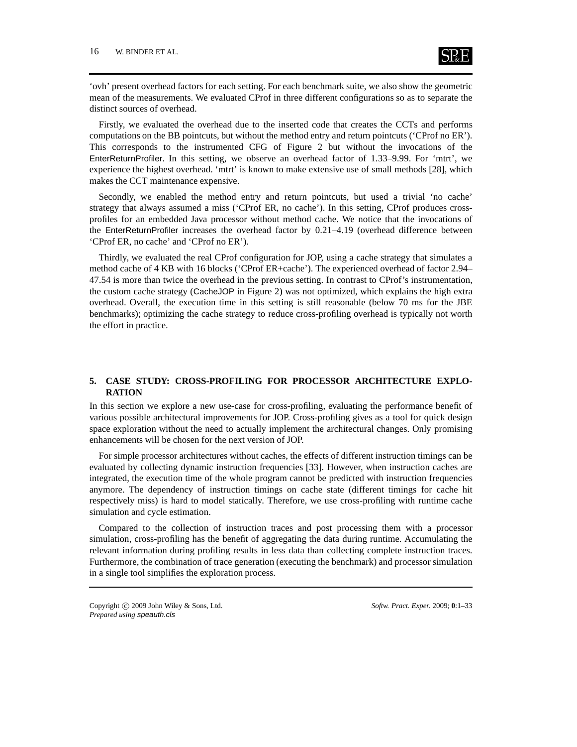

'ovh' present overhead factors for each setting. For each benchmark suite, we also show the geometric mean of the measurements. We evaluated CProf in three different configurations so as to separate the distinct sources of overhead.

Firstly, we evaluated the overhead due to the inserted code that creates the CCTs and performs computations on the BB pointcuts, but without the method entry and return pointcuts ('CProf no ER'). This corresponds to the instrumented CFG of Figure 2 but without the invocations of the EnterReturnProfiler. In this setting, we observe an overhead factor of 1.33–9.99. For 'mtrt', we experience the highest overhead. 'mtrt' is known to make extensive use of small methods [28], which makes the CCT maintenance expensive.

Secondly, we enabled the method entry and return pointcuts, but used a trivial 'no cache' strategy that always assumed a miss ('CProf ER, no cache'). In this setting, CProf produces crossprofiles for an embedded Java processor without method cache. We notice that the invocations of the EnterReturnProfiler increases the overhead factor by 0.21–4.19 (overhead difference between 'CProf ER, no cache' and 'CProf no ER').

Thirdly, we evaluated the real CProf configuration for JOP, using a cache strategy that simulates a method cache of 4 KB with 16 blocks ('CProf ER+cache'). The experienced overhead of factor 2.94– 47.54 is more than twice the overhead in the previous setting. In contrast to CProf's instrumentation, the custom cache strategy (CacheJOP in Figure 2) was not optimized, which explains the high extra overhead. Overall, the execution time in this setting is still reasonable (below 70 ms for the JBE benchmarks); optimizing the cache strategy to reduce cross-profiling overhead is typically not worth the effort in practice.

## **5. CASE STUDY: CROSS-PROFILING FOR PROCESSOR ARCHITECTURE EXPLO-RATION**

In this section we explore a new use-case for cross-profiling, evaluating the performance benefit of various possible architectural improvements for JOP. Cross-profiling gives as a tool for quick design space exploration without the need to actually implement the architectural changes. Only promising enhancements will be chosen for the next version of JOP.

For simple processor architectures without caches, the effects of different instruction timings can be evaluated by collecting dynamic instruction frequencies [33]. However, when instruction caches are integrated, the execution time of the whole program cannot be predicted with instruction frequencies anymore. The dependency of instruction timings on cache state (different timings for cache hit respectively miss) is hard to model statically. Therefore, we use cross-profiling with runtime cache simulation and cycle estimation.

Compared to the collection of instruction traces and post processing them with a processor simulation, cross-profiling has the benefit of aggregating the data during runtime. Accumulating the relevant information during profiling results in less data than collecting complete instruction traces. Furthermore, the combination of trace generation (executing the benchmark) and processor simulation in a single tool simplifies the exploration process.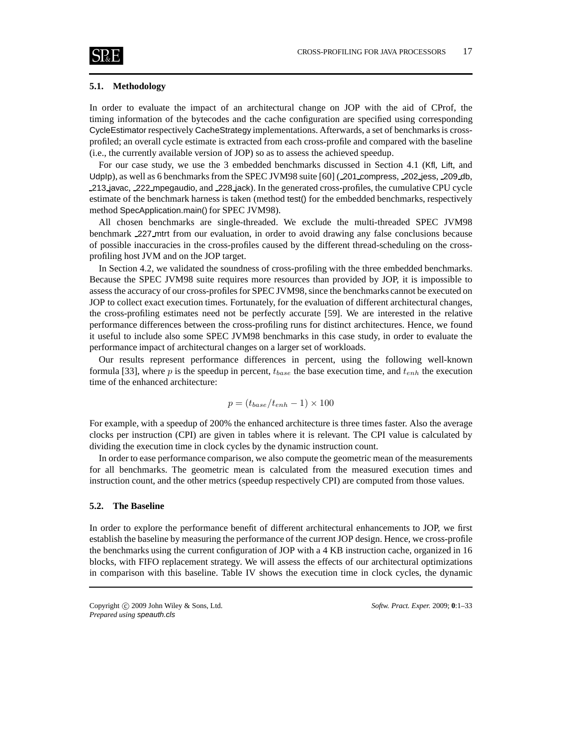**SRE** 

## **5.1. Methodology**

In order to evaluate the impact of an architectural change on JOP with the aid of CProf, the timing information of the bytecodes and the cache configuration are specified using corresponding CycleEstimator respectively CacheStrategy implementations. Afterwards, a set of benchmarks is crossprofiled; an overall cycle estimate is extracted from each cross-profile and compared with the baseline (i.e., the currently available version of JOP) so as to assess the achieved speedup.

For our case study, we use the 3 embedded benchmarks discussed in Section 4.1 (Kfl, Lift, and Udplp), as well as 6 benchmarks from the SPEC JVM98 suite [60] (201 compress, 202 jess, 209 db, 213 javac, 222 mpegaudio, and 228 jack). In the generated cross-profiles, the cumulative CPU cycle estimate of the benchmark harness is taken (method test() for the embedded benchmarks, respectively method SpecApplication.main() for SPEC JVM98).

All chosen benchmarks are single-threaded. We exclude the multi-threaded SPEC JVM98 benchmark 227 mtrt from our evaluation, in order to avoid drawing any false conclusions because of possible inaccuracies in the cross-profiles caused by the different thread-scheduling on the crossprofiling host JVM and on the JOP target.

In Section 4.2, we validated the soundness of cross-profiling with the three embedded benchmarks. Because the SPEC JVM98 suite requires more resources than provided by JOP, it is impossible to assess the accuracy of our cross-profiles for SPEC JVM98, since the benchmarks cannot be executed on JOP to collect exact execution times. Fortunately, for the evaluation of different architectural changes, the cross-profiling estimates need not be perfectly accurate [59]. We are interested in the relative performance differences between the cross-profiling runs for distinct architectures. Hence, we found it useful to include also some SPEC JVM98 benchmarks in this case study, in order to evaluate the performance impact of architectural changes on a larger set of workloads.

Our results represent performance differences in percent, using the following well-known formula [33], where p is the speedup in percent,  $t_{base}$  the base execution time, and  $t_{enh}$  the execution time of the enhanced architecture:

$$
p = (t_{base}/t_{enh} - 1) \times 100
$$

For example, with a speedup of 200% the enhanced architecture is three times faster. Also the average clocks per instruction (CPI) are given in tables where it is relevant. The CPI value is calculated by dividing the execution time in clock cycles by the dynamic instruction count.

In order to ease performance comparison, we also compute the geometric mean of the measurements for all benchmarks. The geometric mean is calculated from the measured execution times and instruction count, and the other metrics (speedup respectively CPI) are computed from those values.

## **5.2. The Baseline**

In order to explore the performance benefit of different architectural enhancements to JOP, we first establish the baseline by measuring the performance of the current JOP design. Hence, we cross-profile the benchmarks using the current configuration of JOP with a 4 KB instruction cache, organized in 16 blocks, with FIFO replacement strategy. We will assess the effects of our architectural optimizations in comparison with this baseline. Table IV shows the execution time in clock cycles, the dynamic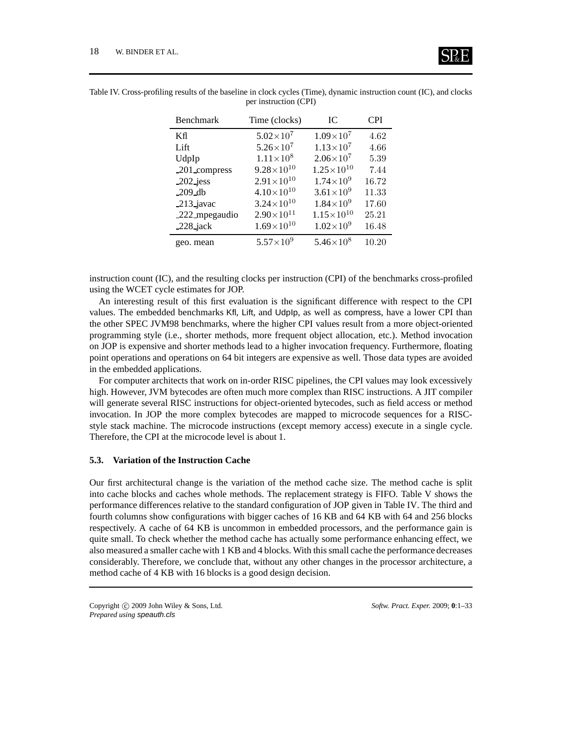

| Benchmark            | Time (clocks)         | IС                    | CPI.  |
|----------------------|-----------------------|-----------------------|-------|
| Кfl                  | $5.02\times10^{7}$    | $1.09\times10^{7}$    | 4.62  |
| Lift                 | $5.26 \times 10^{7}$  | $1.13 \times 10^{7}$  | 4.66  |
| UdpIp                | $1.11 \times 10^8$    | $2.06\times10^{7}$    | 5.39  |
| 201 compress         | $9.28 \times 10^{10}$ | $1.25 \times 10^{10}$ | 7.44  |
| $-202$ -jess         | $2.91 \times 10^{10}$ | $1.74\times10^{9}$    | 16.72 |
| $-209$ <sup>db</sup> | $4.10\times10^{10}$   | $3.61\times10^{9}$    | 11.33 |
| $-213$ -javac        | $3.24 \times 10^{10}$ | $1.84\times10^{9}$    | 17.60 |
| _222_mpegaudio       | $2.90\times10^{11}$   | $1.15\times10^{10}$   | 25.21 |
| $228$ jack           | $1.69\times10^{10}$   | $1.02\times10^{9}$    | 16.48 |
| geo. mean            | $5.57\times10^{9}$    | $5.46\times10^{8}$    | 10.20 |

Table IV. Cross-profiling results of the baseline in clock cycles (Time), dynamic instruction count (IC), and clocks per instruction (CPI)

instruction count (IC), and the resulting clocks per instruction (CPI) of the benchmarks cross-profiled using the WCET cycle estimates for JOP.

An interesting result of this first evaluation is the significant difference with respect to the CPI values. The embedded benchmarks Kfl, Lift, and UdpIp, as well as compress, have a lower CPI than the other SPEC JVM98 benchmarks, where the higher CPI values result from a more object-oriented programming style (i.e., shorter methods, more frequent object allocation, etc.). Method invocation on JOP is expensive and shorter methods lead to a higher invocation frequency. Furthermore, floating point operations and operations on 64 bit integers are expensive as well. Those data types are avoided in the embedded applications.

For computer architects that work on in-order RISC pipelines, the CPI values may look excessively high. However, JVM bytecodes are often much more complex than RISC instructions. A JIT compiler will generate several RISC instructions for object-oriented bytecodes, such as field access or method invocation. In JOP the more complex bytecodes are mapped to microcode sequences for a RISCstyle stack machine. The microcode instructions (except memory access) execute in a single cycle. Therefore, the CPI at the microcode level is about 1.

## **5.3. Variation of the Instruction Cache**

Our first architectural change is the variation of the method cache size. The method cache is split into cache blocks and caches whole methods. The replacement strategy is FIFO. Table V shows the performance differences relative to the standard configuration of JOP given in Table IV. The third and fourth columns show configurations with bigger caches of 16 KB and 64 KB with 64 and 256 blocks respectively. A cache of 64 KB is uncommon in embedded processors, and the performance gain is quite small. To check whether the method cache has actually some performance enhancing effect, we also measured a smaller cache with 1 KB and 4 blocks. With thissmall cache the performance decreases considerably. Therefore, we conclude that, without any other changes in the processor architecture, a method cache of 4 KB with 16 blocks is a good design decision.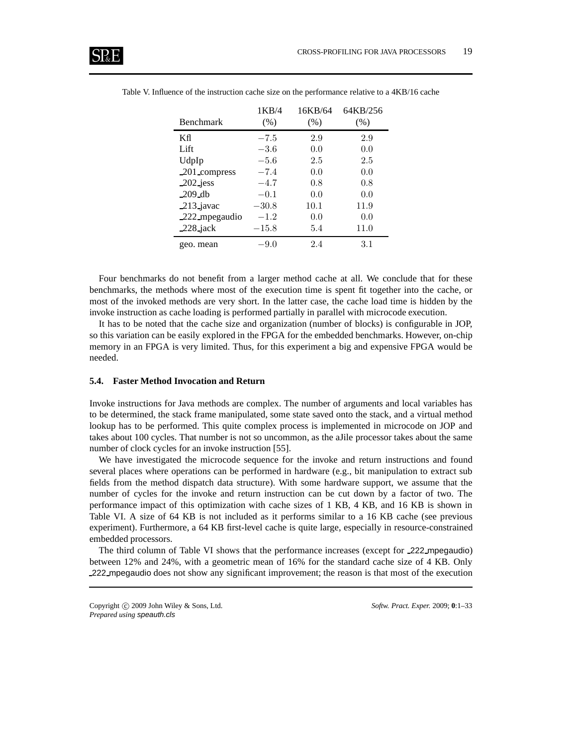|                       | 1KB/4   | 16KB/64 | 64KB/256 |
|-----------------------|---------|---------|----------|
| Benchmark             | (% )    | $(\% )$ | (% )     |
| Кfl                   | $-7.5$  | 2.9     | 2.9      |
| Lift                  | $-3.6$  | 0.0     | 0.0      |
| UdpIp                 | $-5.6$  | 2.5     | 2.5      |
| 201_compress          | $-7.4$  | 0.0     | 0.0      |
| $202$ jess            | $-4.7$  | 0.8     | 0.8      |
| $-209$ db             | $-0.1$  | 0.0     | 0.0      |
| $\frac{213}{2}$ javac | $-30.8$ | 10.1    | 11.9     |
| $-222$ mpegaudio      | $-1.2$  | 0.0     | 0.0      |
| $-228$ -jack          | $-15.8$ | 5.4     | 11.0     |
| geo. mean             | $-9.0$  | 2.4     | 3.1      |

Table V. Influence of the instruction cache size on the performance relative to a 4KB/16 cache

Four benchmarks do not benefit from a larger method cache at all. We conclude that for these benchmarks, the methods where most of the execution time is spent fit together into the cache, or most of the invoked methods are very short. In the latter case, the cache load time is hidden by the invoke instruction as cache loading is performed partially in parallel with microcode execution.

It has to be noted that the cache size and organization (number of blocks) is configurable in JOP, so this variation can be easily explored in the FPGA for the embedded benchmarks. However, on-chip memory in an FPGA is very limited. Thus, for this experiment a big and expensive FPGA would be needed.

## **5.4. Faster Method Invocation and Return**

Invoke instructions for Java methods are complex. The number of arguments and local variables has to be determined, the stack frame manipulated, some state saved onto the stack, and a virtual method lookup has to be performed. This quite complex process is implemented in microcode on JOP and takes about 100 cycles. That number is not so uncommon, as the aJile processor takes about the same number of clock cycles for an invoke instruction [55].

We have investigated the microcode sequence for the invoke and return instructions and found several places where operations can be performed in hardware (e.g., bit manipulation to extract sub fields from the method dispatch data structure). With some hardware support, we assume that the number of cycles for the invoke and return instruction can be cut down by a factor of two. The performance impact of this optimization with cache sizes of 1 KB, 4 KB, and 16 KB is shown in Table VI. A size of 64 KB is not included as it performs similar to a 16 KB cache (see previous experiment). Furthermore, a 64 KB first-level cache is quite large, especially in resource-constrained embedded processors.

The third column of Table VI shows that the performance increases (except for 222 mpegaudio) between 12% and 24%, with a geometric mean of 16% for the standard cache size of 4 KB. Only 222 mpegaudio does not show any significant improvement; the reason is that most of the execution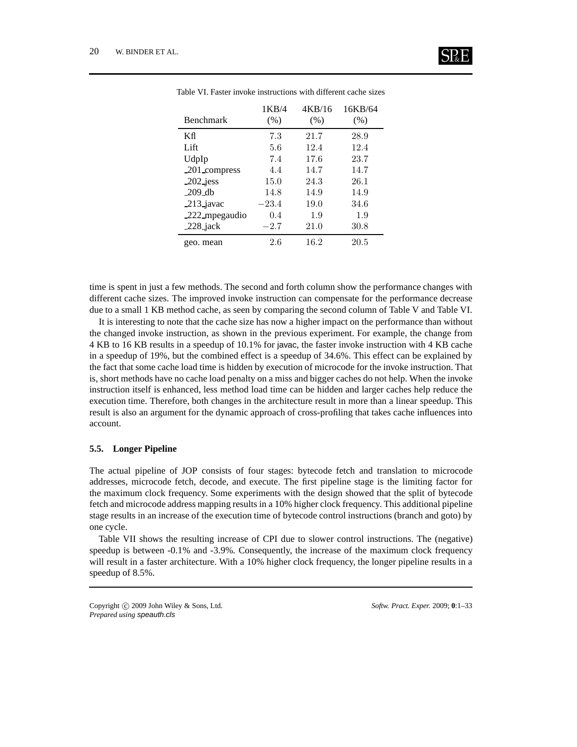|                  | 1KB/4   | 4KB/16 | 16KB/64 |
|------------------|---------|--------|---------|
| <b>Benchmark</b> | (% )    | (% )   | (% )    |
| Кfl              | 7.3     | 21.7   | 28.9    |
| Lift             | 5.6     | 12.4   | 12.4    |
| UdpIp            | 7.4     | 17.6   | 23.7    |
| 201 compress     | 4.4     | 14.7   | 14.7    |
| $202$ jess       | 15.0    | 24.3   | 26.1    |
| $209$ db         | 14.8    | 14.9   | 14.9    |
| $213$ javac      | $-23.4$ | 19.0   | 34.6    |
| _222_mpegaudio   | 0.4     | 1.9    | 1.9     |
| $-228$ -jack     | $-2.7$  | 21.0   | 30.8    |
| geo. mean        | 2.6     | 16.2   | 20.5    |

Table VI. Faster invoke instructions with different cache sizes

time is spent in just a few methods. The second and forth column show the performance changes with different cache sizes. The improved invoke instruction can compensate for the performance decrease due to a small 1 KB method cache, as seen by comparing the second column of Table V and Table VI.

It is interesting to note that the cache size has now a higher impact on the performance than without the changed invoke instruction, as shown in the previous experiment. For example, the change from 4 KB to 16 KB results in a speedup of 10.1% for javac, the faster invoke instruction with 4 KB cache in a speedup of 19%, but the combined effect is a speedup of 34.6%. This effect can be explained by the fact that some cache load time is hidden by execution of microcode for the invoke instruction. That is, short methods have no cache load penalty on a miss and bigger caches do not help. When the invoke instruction itself is enhanced, less method load time can be hidden and larger caches help reduce the execution time. Therefore, both changes in the architecture result in more than a linear speedup. This result is also an argument for the dynamic approach of cross-profiling that takes cache influences into account.

## **5.5. Longer Pipeline**

The actual pipeline of JOP consists of four stages: bytecode fetch and translation to microcode addresses, microcode fetch, decode, and execute. The first pipeline stage is the limiting factor for the maximum clock frequency. Some experiments with the design showed that the split of bytecode fetch and microcode address mapping results in a 10% higher clock frequency. This additional pipeline stage results in an increase of the execution time of bytecode control instructions (branch and goto) by one cycle.

Table VII shows the resulting increase of CPI due to slower control instructions. The (negative) speedup is between -0.1% and -3.9%. Consequently, the increase of the maximum clock frequency will result in a faster architecture. With a 10% higher clock frequency, the longer pipeline results in a speedup of 8.5%.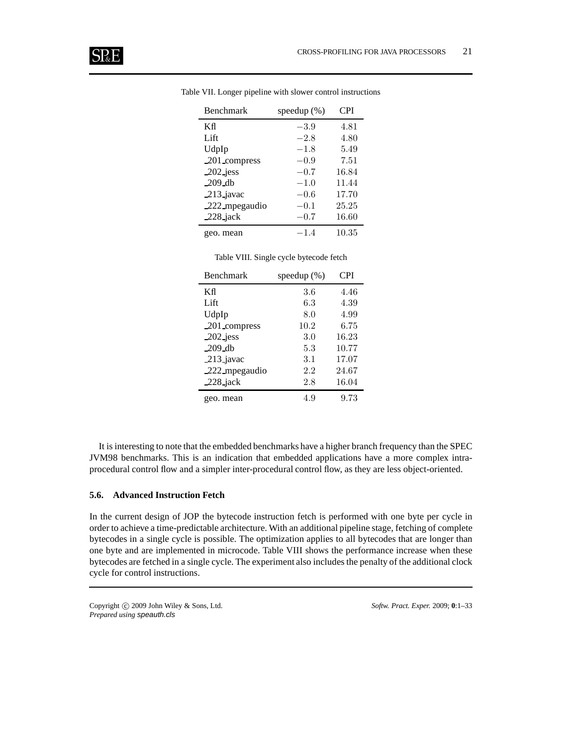| Benchmark             | speedup $(\%)$ | <b>CPI</b> |
|-----------------------|----------------|------------|
| Кfl                   | $-3.9$         | 4.81       |
| Lift                  | $-2.8$         | 4.80       |
| UdpIp                 | $-1.8$         | 5.49       |
| _201_compress         | $-0.9$         | 7.51       |
| $-202$ jess           | $-0.7$         | 16.84      |
| $-209$ db             | $-1.0$         | 11.44      |
| $\frac{213}{1}$ javac | $-0.6$         | 17.70      |
| _222_mpegaudio        | $-0.1$         | 25.25      |
| $-228$ -jack          | $-0.7$         | 16.60      |
| geo. mean             | $-1.4$         | 10.35      |

Table VII. Longer pipeline with slower control instructions

Table VIII. Single cycle bytecode fetch

| <b>Benchmark</b>      | speedup $(\%)$ | <b>CPI</b> |
|-----------------------|----------------|------------|
| Kfl                   | 3.6            | 4.46       |
| Lift                  | 6.3            | 4.39       |
| UdpIp                 | 8.0            | 4.99       |
| _201_compress         | 10.2           | 6.75       |
| $-202$ -jess          | 3.0            | 16.23      |
| $-209$ <sup>-db</sup> | 5.3            | 10.77      |
| $-213$ -javac         | 3.1            | 17.07      |
| _222_mpegaudio        | 2.2            | 24.67      |
| $-228$ -jack          | 2.8            | 16.04      |
| geo. mean             | 4.9            | 9.73       |

It is interesting to note that the embedded benchmarks have a higher branch frequency than the SPEC JVM98 benchmarks. This is an indication that embedded applications have a more complex intraprocedural control flow and a simpler inter-procedural control flow, as they are less object-oriented.

## **5.6. Advanced Instruction Fetch**

In the current design of JOP the bytecode instruction fetch is performed with one byte per cycle in order to achieve a time-predictable architecture. With an additional pipeline stage, fetching of complete bytecodes in a single cycle is possible. The optimization applies to all bytecodes that are longer than one byte and are implemented in microcode. Table VIII shows the performance increase when these bytecodes are fetched in a single cycle. The experiment also includes the penalty of the additional clock cycle for control instructions.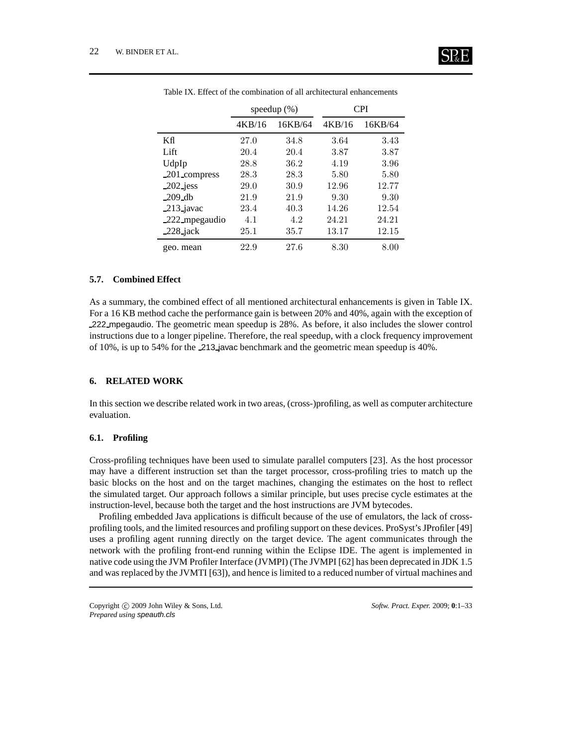|                      |        | speedup $(\%)$ |        | <b>CPI</b> |
|----------------------|--------|----------------|--------|------------|
|                      | 4KB/16 | 16KB/64        | 4KB/16 | 16KB/64    |
| Kfl                  | 27.0   | 34.8           | 3.64   | 3.43       |
| Lift                 | 20.4   | 20.4           | 3.87   | 3.87       |
| UdpIp                | 28.8   | 36.2           | 4.19   | 3.96       |
| 201_compress         | 28.3   | 28.3           | 5.80   | 5.80       |
| $-202$ jess          | 29.0   | 30.9           | 12.96  | 12.77      |
| $-209$ <sup>db</sup> | 21.9   | 21.9           | 9.30   | 9.30       |
| $-213$ javac         | 23.4   | 40.3           | 14.26  | 12.54      |
| $222$ mpegaudio      | 4.1    | 4.2            | 24.21  | 24.21      |
| $-228$ -jack         | 25.1   | 35.7           | 13.17  | 12.15      |
| geo. mean            | 22.9   | 27.6           | 8.30   | 8.00       |

Table IX. Effect of the combination of all architectural enhancements

# **5.7. Combined Effect**

As a summary, the combined effect of all mentioned architectural enhancements is given in Table IX. For a 16 KB method cache the performance gain is between 20% and 40%, again with the exception of 222 mpegaudio. The geometric mean speedup is 28%. As before, it also includes the slower control instructions due to a longer pipeline. Therefore, the real speedup, with a clock frequency improvement of 10%, is up to 54% for the 213 javac benchmark and the geometric mean speedup is 40%.

## **6. RELATED WORK**

In this section we describe related work in two areas, (cross-)profiling, as well as computer architecture evaluation.

## **6.1. Profiling**

Cross-profiling techniques have been used to simulate parallel computers [23]. As the host processor may have a different instruction set than the target processor, cross-profiling tries to match up the basic blocks on the host and on the target machines, changing the estimates on the host to reflect the simulated target. Our approach follows a similar principle, but uses precise cycle estimates at the instruction-level, because both the target and the host instructions are JVM bytecodes.

Profiling embedded Java applications is difficult because of the use of emulators, the lack of crossprofiling tools, and the limited resources and profiling support on these devices. ProSyst's JProfiler [49] uses a profiling agent running directly on the target device. The agent communicates through the network with the profiling front-end running within the Eclipse IDE. The agent is implemented in native code using the JVM Profiler Interface (JVMPI) (The JVMPI [62] has been deprecated in JDK 1.5 and was replaced by the JVMTI [63]), and hence is limited to a reduced number of virtual machines and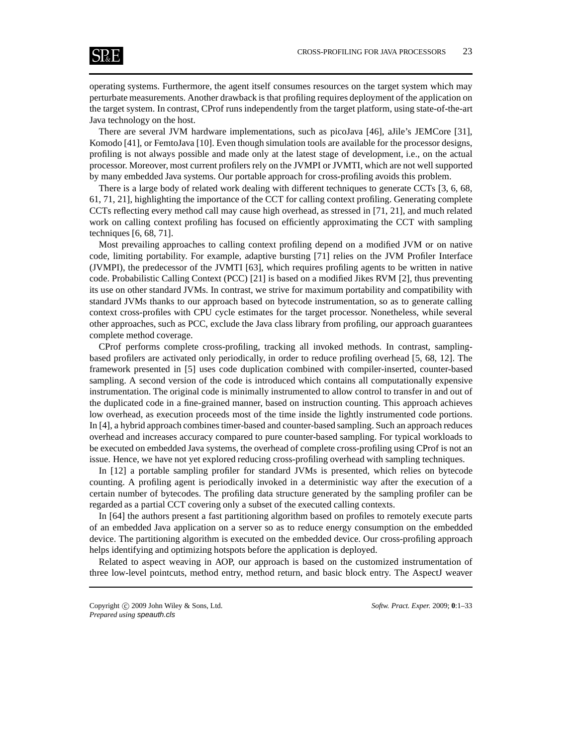

operating systems. Furthermore, the agent itself consumes resources on the target system which may perturbate measurements. Another drawback is that profiling requires deployment of the application on the target system. In contrast, CProf runs independently from the target platform, using state-of-the-art Java technology on the host.

There are several JVM hardware implementations, such as picoJava [46], aJile's JEMCore [31], Komodo [41], or FemtoJava [10]. Even though simulation tools are available for the processor designs, profiling is not always possible and made only at the latest stage of development, i.e., on the actual processor. Moreover, most current profilers rely on the JVMPI or JVMTI, which are not well supported by many embedded Java systems. Our portable approach for cross-profiling avoids this problem.

There is a large body of related work dealing with different techniques to generate CCTs [3, 6, 68, 61, 71, 21], highlighting the importance of the CCT for calling context profiling. Generating complete CCTs reflecting every method call may cause high overhead, as stressed in [71, 21], and much related work on calling context profiling has focused on efficiently approximating the CCT with sampling techniques [6, 68, 71].

Most prevailing approaches to calling context profiling depend on a modified JVM or on native code, limiting portability. For example, adaptive bursting [71] relies on the JVM Profiler Interface (JVMPI), the predecessor of the JVMTI [63], which requires profiling agents to be written in native code. Probabilistic Calling Context (PCC) [21] is based on a modified Jikes RVM [2], thus preventing its use on other standard JVMs. In contrast, we strive for maximum portability and compatibility with standard JVMs thanks to our approach based on bytecode instrumentation, so as to generate calling context cross-profiles with CPU cycle estimates for the target processor. Nonetheless, while several other approaches, such as PCC, exclude the Java class library from profiling, our approach guarantees complete method coverage.

CProf performs complete cross-profiling, tracking all invoked methods. In contrast, samplingbased profilers are activated only periodically, in order to reduce profiling overhead [5, 68, 12]. The framework presented in [5] uses code duplication combined with compiler-inserted, counter-based sampling. A second version of the code is introduced which contains all computationally expensive instrumentation. The original code is minimally instrumented to allow control to transfer in and out of the duplicated code in a fine-grained manner, based on instruction counting. This approach achieves low overhead, as execution proceeds most of the time inside the lightly instrumented code portions. In [4], a hybrid approach combines timer-based and counter-based sampling. Such an approach reduces overhead and increases accuracy compared to pure counter-based sampling. For typical workloads to be executed on embedded Java systems, the overhead of complete cross-profiling using CProf is not an issue. Hence, we have not yet explored reducing cross-profiling overhead with sampling techniques.

In [12] a portable sampling profiler for standard JVMs is presented, which relies on bytecode counting. A profiling agent is periodically invoked in a deterministic way after the execution of a certain number of bytecodes. The profiling data structure generated by the sampling profiler can be regarded as a partial CCT covering only a subset of the executed calling contexts.

In [64] the authors present a fast partitioning algorithm based on profiles to remotely execute parts of an embedded Java application on a server so as to reduce energy consumption on the embedded device. The partitioning algorithm is executed on the embedded device. Our cross-profiling approach helps identifying and optimizing hotspots before the application is deployed.

Related to aspect weaving in AOP, our approach is based on the customized instrumentation of three low-level pointcuts, method entry, method return, and basic block entry. The AspectJ weaver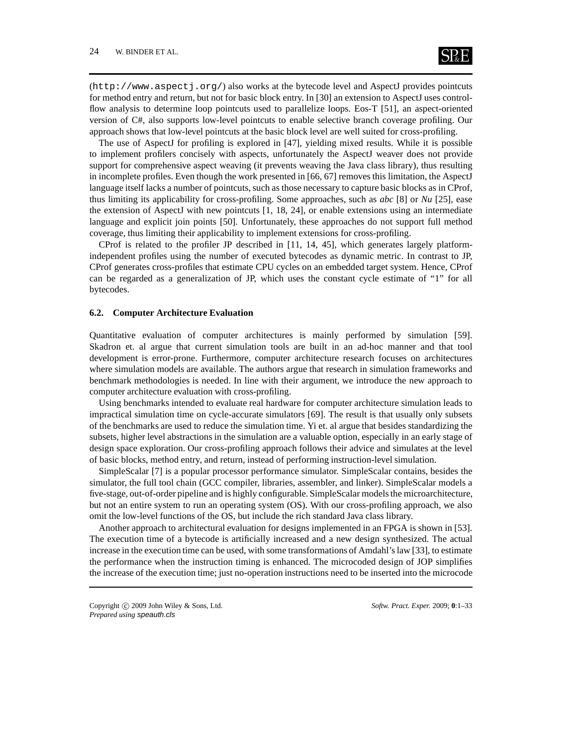(http://www.aspectj.org/) also works at the bytecode level and AspectJ provides pointcuts for method entry and return, but not for basic block entry. In [30] an extension to AspectJ uses controlflow analysis to determine loop pointcuts used to parallelize loops. Eos-T [51], an aspect-oriented version of C#, also supports low-level pointcuts to enable selective branch coverage profiling. Our approach shows that low-level pointcuts at the basic block level are well suited for cross-profiling.

The use of AspectJ for profiling is explored in [47], yielding mixed results. While it is possible to implement profilers concisely with aspects, unfortunately the AspectJ weaver does not provide support for comprehensive aspect weaving (it prevents weaving the Java class library), thus resulting in incomplete profiles. Even though the work presented in [66, 67] removes this limitation, the AspectJ language itself lacks a number of pointcuts, such as those necessary to capture basic blocks as in CProf, thus limiting its applicability for cross-profiling. Some approaches, such as *abc* [8] or *Nu* [25], ease the extension of AspectJ with new pointcuts [1, 18, 24], or enable extensions using an intermediate language and explicit join points [50]. Unfortunately, these approaches do not support full method coverage, thus limiting their applicability to implement extensions for cross-profiling.

CProf is related to the profiler JP described in [11, 14, 45], which generates largely platformindependent profiles using the number of executed bytecodes as dynamic metric. In contrast to JP, CProf generates cross-profiles that estimate CPU cycles on an embedded target system. Hence, CProf can be regarded as a generalization of JP, which uses the constant cycle estimate of "1" for all bytecodes.

#### **6.2. Computer Architecture Evaluation**

Quantitative evaluation of computer architectures is mainly performed by simulation [59]. Skadron et. al argue that current simulation tools are built in an ad-hoc manner and that tool development is error-prone. Furthermore, computer architecture research focuses on architectures where simulation models are available. The authors argue that research in simulation frameworks and benchmark methodologies is needed. In line with their argument, we introduce the new approach to computer architecture evaluation with cross-profiling.

Using benchmarks intended to evaluate real hardware for computer architecture simulation leads to impractical simulation time on cycle-accurate simulators [69]. The result is that usually only subsets of the benchmarks are used to reduce the simulation time. Yi et. al argue that besides standardizing the subsets, higher level abstractions in the simulation are a valuable option, especially in an early stage of design space exploration. Our cross-profiling approach follows their advice and simulates at the level of basic blocks, method entry, and return, instead of performing instruction-level simulation.

SimpleScalar [7] is a popular processor performance simulator. SimpleScalar contains, besides the simulator, the full tool chain (GCC compiler, libraries, assembler, and linker). SimpleScalar models a five-stage, out-of-order pipeline and is highly configurable. SimpleScalar models the microarchitecture, but not an entire system to run an operating system (OS). With our cross-profiling approach, we also omit the low-level functions of the OS, but include the rich standard Java class library.

Another approach to architectural evaluation for designs implemented in an FPGA is shown in [53]. The execution time of a bytecode is artificially increased and a new design synthesized. The actual increase in the execution time can be used, with some transformations of Amdahl's law [33], to estimate the performance when the instruction timing is enhanced. The microcoded design of JOP simplifies the increase of the execution time; just no-operation instructions need to be inserted into the microcode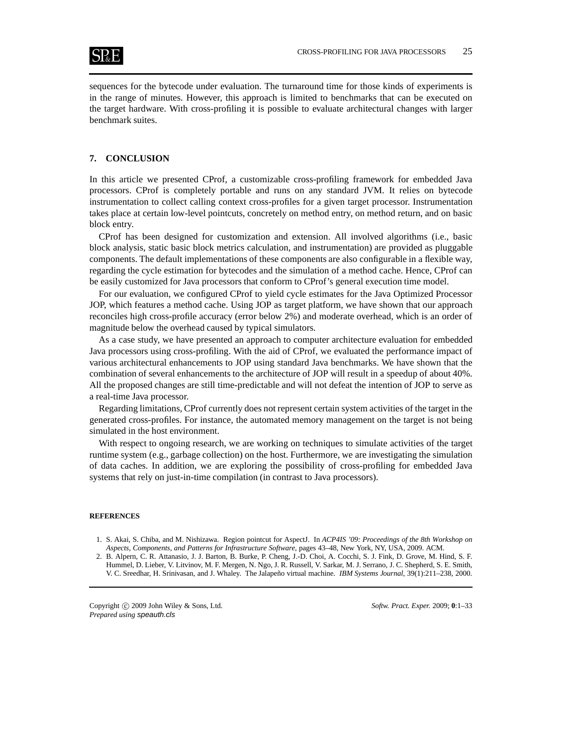

sequences for the bytecode under evaluation. The turnaround time for those kinds of experiments is in the range of minutes. However, this approach is limited to benchmarks that can be executed on the target hardware. With cross-profiling it is possible to evaluate architectural changes with larger benchmark suites.

# **7. CONCLUSION**

In this article we presented CProf, a customizable cross-profiling framework for embedded Java processors. CProf is completely portable and runs on any standard JVM. It relies on bytecode instrumentation to collect calling context cross-profiles for a given target processor. Instrumentation takes place at certain low-level pointcuts, concretely on method entry, on method return, and on basic block entry.

CProf has been designed for customization and extension. All involved algorithms (i.e., basic block analysis, static basic block metrics calculation, and instrumentation) are provided as pluggable components. The default implementations of these components are also configurable in a flexible way, regarding the cycle estimation for bytecodes and the simulation of a method cache. Hence, CProf can be easily customized for Java processors that conform to CProf's general execution time model.

For our evaluation, we configured CProf to yield cycle estimates for the Java Optimized Processor JOP, which features a method cache. Using JOP as target platform, we have shown that our approach reconciles high cross-profile accuracy (error below 2%) and moderate overhead, which is an order of magnitude below the overhead caused by typical simulators.

As a case study, we have presented an approach to computer architecture evaluation for embedded Java processors using cross-profiling. With the aid of CProf, we evaluated the performance impact of various architectural enhancements to JOP using standard Java benchmarks. We have shown that the combination of several enhancements to the architecture of JOP will result in a speedup of about 40%. All the proposed changes are still time-predictable and will not defeat the intention of JOP to serve as a real-time Java processor.

Regarding limitations, CProf currently does not represent certain system activities of the target in the generated cross-profiles. For instance, the automated memory management on the target is not being simulated in the host environment.

With respect to ongoing research, we are working on techniques to simulate activities of the target runtime system (e.g., garbage collection) on the host. Furthermore, we are investigating the simulation of data caches. In addition, we are exploring the possibility of cross-profiling for embedded Java systems that rely on just-in-time compilation (in contrast to Java processors).

#### **REFERENCES**

- 1. S. Akai, S. Chiba, and M. Nishizawa. Region pointcut for AspectJ. In *ACP4IS '09: Proceedings of the 8th Workshop on Aspects, Components, and Patterns for Infrastructure Software*, pages 43–48, New York, NY, USA, 2009. ACM.
- 2. B. Alpern, C. R. Attanasio, J. J. Barton, B. Burke, P. Cheng, J.-D. Choi, A. Cocchi, S. J. Fink, D. Grove, M. Hind, S. F. Hummel, D. Lieber, V. Litvinov, M. F. Mergen, N. Ngo, J. R. Russell, V. Sarkar, M. J. Serrano, J. C. Shepherd, S. E. Smith, V. C. Sreedhar, H. Srinivasan, and J. Whaley. The Jalapeño virtual machine. *IBM Systems Journal*, 39(1):211-238, 2000.

Copyright c 2009 John Wiley & Sons, Ltd. *Softw. Pract. Exper.* 2009; **0**:1–33 *Prepared using* speauth.cls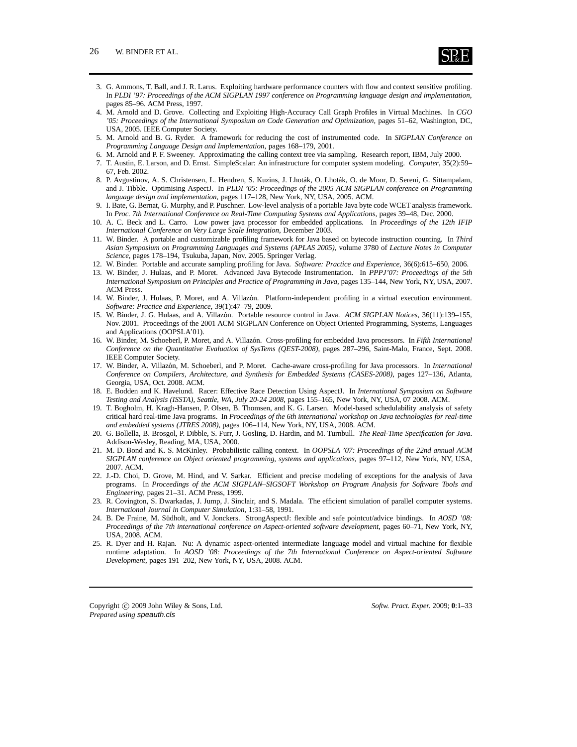

- 3. G. Ammons, T. Ball, and J. R. Larus. Exploiting hardware performance counters with flow and context sensitive profiling. In *PLDI '97: Proceedings of the ACM SIGPLAN 1997 conference on Programming language design and implementation*, pages 85–96. ACM Press, 1997.
- 4. M. Arnold and D. Grove. Collecting and Exploiting High-Accuracy Call Graph Profiles in Virtual Machines. In *CGO '05: Proceedings of the International Symposium on Code Generation and Optimization*, pages 51–62, Washington, DC, USA, 2005. IEEE Computer Society.
- 5. M. Arnold and B. G. Ryder. A framework for reducing the cost of instrumented code. In *SIGPLAN Conference on Programming Language Design and Implementation*, pages 168–179, 2001.
- 6. M. Arnold and P. F. Sweeney. Approximating the calling context tree via sampling. Research report, IBM, July 2000.
- 7. T. Austin, E. Larson, and D. Ernst. SimpleScalar: An infrastructure for computer system modeling. *Computer*, 35(2):59– 67, Feb. 2002.
- 8. P. Avgustinov, A. S. Christensen, L. Hendren, S. Kuzins, J. Lhoták, O. Lhoták, O. de Moor, D. Sereni, G. Sittampalam, and J. Tibble. Optimising AspectJ. In *PLDI '05: Proceedings of the 2005 ACM SIGPLAN conference on Programming language design and implementation*, pages 117–128, New York, NY, USA, 2005. ACM.
- 9. I. Bate, G. Bernat, G. Murphy, and P. Puschner. Low-level analysis of a portable Java byte code WCET analysis framework. In *Proc. 7th International Conference on Real-Time Computing Systems and Applications*, pages 39–48, Dec. 2000.
- 10. A. C. Beck and L. Carro. Low power java processor for embedded applications. In *Proceedings of the 12th IFIP International Conference on Very Large Scale Integration*, December 2003.
- 11. W. Binder. A portable and customizable profiling framework for Java based on bytecode instruction counting. In *Third Asian Symposium on Programming Languages and Systems (APLAS 2005)*, volume 3780 of *Lecture Notes in Computer Science*, pages 178–194, Tsukuba, Japan, Nov. 2005. Springer Verlag.
- 12. W. Binder. Portable and accurate sampling profiling for Java. *Software: Practice and Experience*, 36(6):615–650, 2006.
- 13. W. Binder, J. Hulaas, and P. Moret. Advanced Java Bytecode Instrumentation. In *PPPJ'07: Proceedings of the 5th International Symposium on Principles and Practice of Programming in Java*, pages 135–144, New York, NY, USA, 2007. ACM Press.
- 14. W. Binder, J. Hulaas, P. Moret, and A. Villaz´on. Platform-independent profiling in a virtual execution environment. *Software: Practice and Experience*, 39(1):47–79, 2009.
- 15. W. Binder, J. G. Hulaas, and A. Villaz´on. Portable resource control in Java. *ACM SIGPLAN Notices*, 36(11):139–155, Nov. 2001. Proceedings of the 2001 ACM SIGPLAN Conference on Object Oriented Programming, Systems, Languages and Applications (OOPSLA'01).
- 16. W. Binder, M. Schoeberl, P. Moret, and A. Villaz´on. Cross-profiling for embedded Java processors. In *Fifth International Conference on the Quantitative Evaluation of SysTems (QEST-2008)*, pages 287–296, Saint-Malo, France, Sept. 2008. IEEE Computer Society.
- 17. W. Binder, A. Villaz´on, M. Schoeberl, and P. Moret. Cache-aware cross-profiling for Java processors. In *International Conference on Compilers, Architecture, and Synthesis for Embedded Systems (CASES-2008)*, pages 127–136, Atlanta, Georgia, USA, Oct. 2008. ACM.
- 18. E. Bodden and K. Havelund. Racer: Effective Race Detection Using AspectJ. In *International Symposium on Software Testing and Analysis (ISSTA), Seattle, WA, July 20-24 2008*, pages 155–165, New York, NY, USA, 07 2008. ACM.
- 19. T. Bogholm, H. Kragh-Hansen, P. Olsen, B. Thomsen, and K. G. Larsen. Model-based schedulability analysis of safety critical hard real-time Java programs. In *Proceedings of the 6th international workshop on Java technologies for real-time and embedded systems (JTRES 2008)*, pages 106–114, New York, NY, USA, 2008. ACM.
- 20. G. Bollella, B. Brosgol, P. Dibble, S. Furr, J. Gosling, D. Hardin, and M. Turnbull. *The Real-Time Specification for Java*. Addison-Wesley, Reading, MA, USA, 2000.
- 21. M. D. Bond and K. S. McKinley. Probabilistic calling context. In *OOPSLA '07: Proceedings of the 22nd annual ACM SIGPLAN conference on Object oriented programming, systems and applications*, pages 97–112, New York, NY, USA, 2007. ACM.
- 22. J.-D. Choi, D. Grove, M. Hind, and V. Sarkar. Efficient and precise modeling of exceptions for the analysis of Java programs. In *Proceedings of the ACM SIGPLAN–SIGSOFT Workshop on Program Analysis for Software Tools and Engineering*, pages 21–31. ACM Press, 1999.
- 23. R. Covington, S. Dwarkadas, J. Jump, J. Sinclair, and S. Madala. The efficient simulation of parallel computer systems. *International Journal in Computer Simulation*, 1:31–58, 1991.
- 24. B. De Fraine, M. S¨udholt, and V. Jonckers. StrongAspectJ: flexible and safe pointcut/advice bindings. In *AOSD '08: Proceedings of the 7th international conference on Aspect-oriented software development*, pages 60–71, New York, NY, USA, 2008. ACM.
- 25. R. Dyer and H. Rajan. Nu: A dynamic aspect-oriented intermediate language model and virtual machine for flexible runtime adaptation. In *AOSD '08: Proceedings of the 7th International Conference on Aspect-oriented Software Development*, pages 191–202, New York, NY, USA, 2008. ACM.

Copyright © 2009 John Wiley & Sons, Ltd. *Softw. Pract. Exper.* 2009; **0**:1–33 *Prepared using* speauth.cls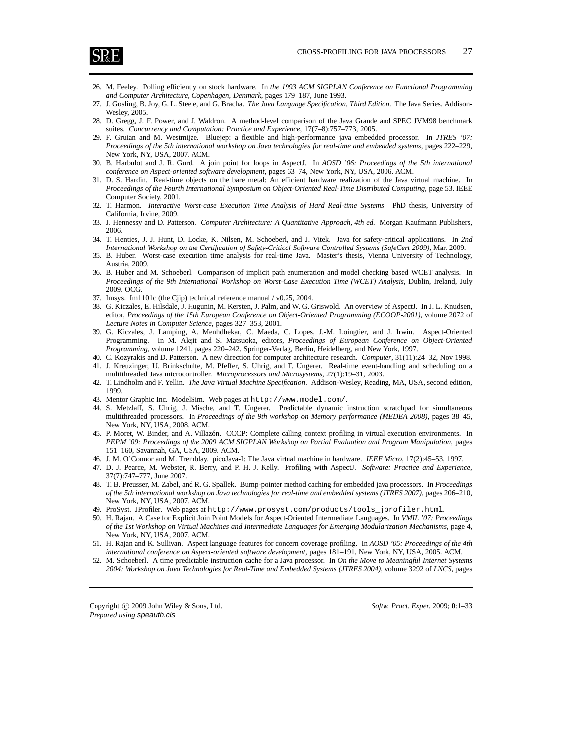

- 26. M. Feeley. Polling efficiently on stock hardware. In *the 1993 ACM SIGPLAN Conference on Functional Programming and Computer Architecture, Copenhagen, Denmark*, pages 179–187, June 1993.
- 27. J. Gosling, B. Joy, G. L. Steele, and G. Bracha. *The Java Language Specification, Third Edition*. The Java Series. Addison-Wesley, 2005.
- 28. D. Gregg, J. F. Power, and J. Waldron. A method-level comparison of the Java Grande and SPEC JVM98 benchmark suites. *Concurrency and Computation: Practice and Experience*, 17(7–8):757–773, 2005.
- 29. F. Gruian and M. Westmijze. Bluejep: a flexible and high-performance java embedded processor. In *JTRES '07: Proceedings of the 5th international workshop on Java technologies for real-time and embedded systems*, pages 222–229, New York, NY, USA, 2007. ACM.
- 30. B. Harbulot and J. R. Gurd. A join point for loops in AspectJ. In *AOSD '06: Proceedings of the 5th international conference on Aspect-oriented software development*, pages 63–74, New York, NY, USA, 2006. ACM.
- 31. D. S. Hardin. Real-time objects on the bare metal: An efficient hardware realization of the Java virtual machine. In *Proceedings of the Fourth International Symposium on Object-Oriented Real-Time Distributed Computing*, page 53. IEEE Computer Society, 2001.
- 32. T. Harmon. *Interactive Worst-case Execution Time Analysis of Hard Real-time Systems*. PhD thesis, University of California, Irvine, 2009.
- 33. J. Hennessy and D. Patterson. *Computer Architecture: A Quantitative Approach, 4th ed.* Morgan Kaufmann Publishers, 2006.
- 34. T. Henties, J. J. Hunt, D. Locke, K. Nilsen, M. Schoeberl, and J. Vitek. Java for safety-critical applications. In *2nd International Workshop on the Certification of Safety-Critical Software Controlled Systems (SafeCert 2009)*, Mar. 2009.
- 35. B. Huber. Worst-case execution time analysis for real-time Java. Master's thesis, Vienna University of Technology, Austria, 2009.
- 36. B. Huber and M. Schoeberl. Comparison of implicit path enumeration and model checking based WCET analysis. In *Proceedings of the 9th International Workshop on Worst-Case Execution Time (WCET) Analysis*, Dublin, Ireland, July 2009. OCG.
- 37. Imsys. Im1101c (the Cjip) technical reference manual / v0.25, 2004.
- 38. G. Kiczales, E. Hilsdale, J. Hugunin, M. Kersten, J. Palm, and W. G. Griswold. An overview of AspectJ. In J. L. Knudsen, editor, *Proceedings of the 15th European Conference on Object-Oriented Programming (ECOOP-2001)*, volume 2072 of *Lecture Notes in Computer Science*, pages 327–353, 2001.
- 39. G. Kiczales, J. Lamping, A. Menhdhekar, C. Maeda, C. Lopes, J.-M. Loingtier, and J. Irwin. Aspect-Oriented Programming. In M. Aksit and S. Matsuoka, editors, Proceedings of European Conference on Object-Oriented *Programming*, volume 1241, pages 220–242. Springer-Verlag, Berlin, Heidelberg, and New York, 1997.
- 40. C. Kozyrakis and D. Patterson. A new direction for computer architecture research. *Computer*, 31(11):24–32, Nov 1998.
- 41. J. Kreuzinger, U. Brinkschulte, M. Pfeffer, S. Uhrig, and T. Ungerer. Real-time event-handling and scheduling on a multithreaded Java microcontroller. *Microprocessors and Microsystems*, 27(1):19–31, 2003.
- 42. T. Lindholm and F. Yellin. *The Java Virtual Machine Specification*. Addison-Wesley, Reading, MA, USA, second edition, 1999.
- 43. Mentor Graphic Inc. ModelSim. Web pages at http://www.model.com/.
- 44. S. Metzlaff, S. Uhrig, J. Mische, and T. Ungerer. Predictable dynamic instruction scratchpad for simultaneous multithreaded processors. In *Proceedings of the 9th workshop on Memory performance (MEDEA 2008)*, pages 38–45, New York, NY, USA, 2008. ACM.
- 45. P. Moret, W. Binder, and A. Villazón. CCCP: Complete calling context profiling in virtual execution environments. In *PEPM '09: Proceedings of the 2009 ACM SIGPLAN Workshop on Partial Evaluation and Program Manipulation*, pages 151–160, Savannah, GA, USA, 2009. ACM.
- 46. J. M. O'Connor and M. Tremblay. picoJava-I: The Java virtual machine in hardware. *IEEE Micro*, 17(2):45–53, 1997.
- 47. D. J. Pearce, M. Webster, R. Berry, and P. H. J. Kelly. Profiling with AspectJ. *Software: Practice and Experience*, 37(7):747–777, June 2007.
- 48. T. B. Preusser, M. Zabel, and R. G. Spallek. Bump-pointer method caching for embedded java processors. In *Proceedings of the 5th international workshop on Java technologies for real-time and embedded systems (JTRES 2007)*, pages 206–210, New York, NY, USA, 2007. ACM.
- 49. ProSyst. JProfiler. Web pages at http://www.prosyst.com/products/tools\_jprofiler.html.
- 50. H. Rajan. A Case for Explicit Join Point Models for Aspect-Oriented Intermediate Languages. In *VMIL '07: Proceedings of the 1st Workshop on Virtual Machines and Intermediate Languages for Emerging Modularization Mechanisms*, page 4, New York, NY, USA, 2007. ACM.
- 51. H. Rajan and K. Sullivan. Aspect language features for concern coverage profiling. In *AOSD '05: Proceedings of the 4th international conference on Aspect-oriented software development*, pages 181–191, New York, NY, USA, 2005. ACM.
- 52. M. Schoeberl. A time predictable instruction cache for a Java processor. In *On the Move to Meaningful Internet Systems 2004: Workshop on Java Technologies for Real-Time and Embedded Systems (JTRES 2004)*, volume 3292 of *LNCS*, pages

Copyright © 2009 John Wiley & Sons, Ltd. *Softw. Pract. Exper.* 2009; **0**:1–33 *Prepared using* speauth.cls